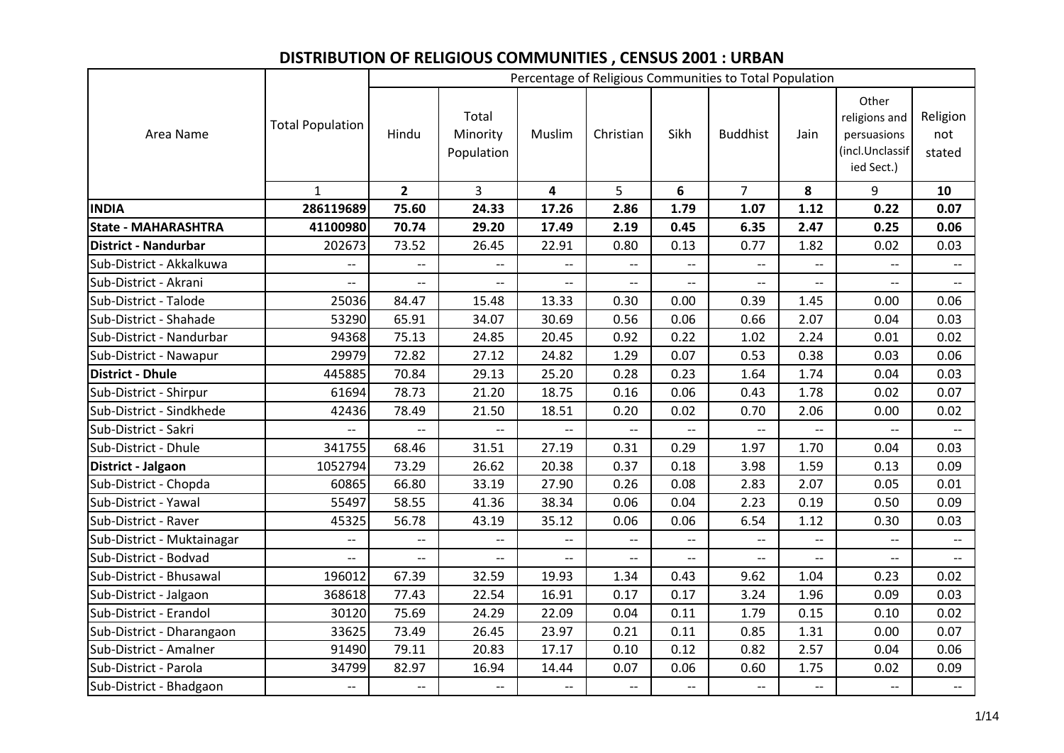## **DISTRIBUTION OF RELIGIOUS COMMUNITIES , CENSUS 2001 : URBAN**

|                             |                          |                          |                                 |                          |                          |                          | Percentage of Religious Communities to Total Population |                          |                                                                        |                           |
|-----------------------------|--------------------------|--------------------------|---------------------------------|--------------------------|--------------------------|--------------------------|---------------------------------------------------------|--------------------------|------------------------------------------------------------------------|---------------------------|
| Area Name                   | <b>Total Population</b>  | Hindu                    | Total<br>Minority<br>Population | Muslim                   | Christian                | Sikh                     | <b>Buddhist</b>                                         | Jain                     | Other<br>religions and<br>persuasions<br>(incl.Unclassif<br>ied Sect.) | Religion<br>not<br>stated |
|                             | $\mathbf{1}$             | $\overline{2}$           | $\overline{3}$                  | $\overline{\mathbf{4}}$  | 5 <sup>1</sup>           | 6                        | $\overline{7}$                                          | 8                        | 9                                                                      | 10                        |
| <b>INDIA</b>                | 286119689                | 75.60                    | 24.33                           | 17.26                    | 2.86                     | 1.79                     | 1.07                                                    | 1.12                     | 0.22                                                                   | 0.07                      |
| <b>State - MAHARASHTRA</b>  | 41100980                 | 70.74                    | 29.20                           | 17.49                    | 2.19                     | 0.45                     | 6.35                                                    | 2.47                     | 0.25                                                                   | 0.06                      |
| <b>District - Nandurbar</b> | 202673                   | 73.52                    | 26.45                           | 22.91                    | 0.80                     | 0.13                     | 0.77                                                    | 1.82                     | 0.02                                                                   | 0.03                      |
| Sub-District - Akkalkuwa    | $\overline{\phantom{a}}$ | $\overline{\phantom{a}}$ | $\overline{\phantom{a}}$        | $\overline{\phantom{a}}$ | $\overline{\phantom{a}}$ | $\overline{\phantom{0}}$ | $\overline{\phantom{a}}$                                | $\overline{\phantom{a}}$ | $\overline{\phantom{a}}$                                               | $\overline{\phantom{a}}$  |
| Sub-District - Akrani       | $-$                      | $\overline{a}$           | $\overline{\phantom{a}}$        | $\overline{\phantom{a}}$ | $\overline{a}$           | $-$                      | $\overline{\phantom{a}}$                                | $\overline{a}$           | $\overline{a}$                                                         | $\overline{\phantom{a}}$  |
| Sub-District - Talode       | 25036                    | 84.47                    | 15.48                           | 13.33                    | 0.30                     | 0.00                     | 0.39                                                    | 1.45                     | 0.00                                                                   | 0.06                      |
| Sub-District - Shahade      | 53290                    | 65.91                    | 34.07                           | 30.69                    | 0.56                     | 0.06                     | 0.66                                                    | 2.07                     | 0.04                                                                   | 0.03                      |
| Sub-District - Nandurbar    | 94368                    | 75.13                    | 24.85                           | 20.45                    | 0.92                     | 0.22                     | 1.02                                                    | 2.24                     | 0.01                                                                   | 0.02                      |
| Sub-District - Nawapur      | 29979                    | 72.82                    | 27.12                           | 24.82                    | 1.29                     | 0.07                     | 0.53                                                    | 0.38                     | 0.03                                                                   | 0.06                      |
| <b>District - Dhule</b>     | 445885                   | 70.84                    | 29.13                           | 25.20                    | 0.28                     | 0.23                     | 1.64                                                    | 1.74                     | 0.04                                                                   | 0.03                      |
| Sub-District - Shirpur      | 61694                    | 78.73                    | 21.20                           | 18.75                    | 0.16                     | 0.06                     | 0.43                                                    | 1.78                     | 0.02                                                                   | 0.07                      |
| Sub-District - Sindkhede    | 42436                    | 78.49                    | 21.50                           | 18.51                    | 0.20                     | 0.02                     | 0.70                                                    | 2.06                     | 0.00                                                                   | 0.02                      |
| Sub-District - Sakri        |                          | $-$                      | $- -$                           | $\overline{\phantom{a}}$ | $-$                      | $-$                      | $\overline{\phantom{a}}$                                |                          | $-$                                                                    | $\overline{\phantom{a}}$  |
| Sub-District - Dhule        | 341755                   | 68.46                    | 31.51                           | 27.19                    | 0.31                     | 0.29                     | 1.97                                                    | 1.70                     | 0.04                                                                   | 0.03                      |
| District - Jalgaon          | 1052794                  | 73.29                    | 26.62                           | 20.38                    | 0.37                     | 0.18                     | 3.98                                                    | 1.59                     | 0.13                                                                   | 0.09                      |
| Sub-District - Chopda       | 60865                    | 66.80                    | 33.19                           | 27.90                    | 0.26                     | 0.08                     | 2.83                                                    | 2.07                     | 0.05                                                                   | 0.01                      |
| Sub-District - Yawal        | 55497                    | 58.55                    | 41.36                           | 38.34                    | 0.06                     | 0.04                     | 2.23                                                    | 0.19                     | 0.50                                                                   | 0.09                      |
| Sub-District - Raver        | 45325                    | 56.78                    | 43.19                           | 35.12                    | 0.06                     | 0.06                     | 6.54                                                    | 1.12                     | 0.30                                                                   | 0.03                      |
| Sub-District - Muktainagar  | --                       | $\overline{\phantom{a}}$ | $-\hbox{--}$                    | $\overline{\phantom{a}}$ | $\overline{\phantom{a}}$ | $\overline{\phantom{a}}$ | $\hspace{0.05cm} \textbf{--}$                           | $\overline{\phantom{a}}$ | --                                                                     | $-\!$                     |
| Sub-District - Bodvad       | $\overline{\phantom{a}}$ | $\overline{\phantom{a}}$ | $\overline{\phantom{a}}$        | $\overline{\phantom{a}}$ | $-$                      | $-$                      | $\overline{\phantom{a}}$                                | $-$                      | $\overline{\phantom{a}}$                                               | $\overline{\phantom{a}}$  |
| Sub-District - Bhusawal     | 196012                   | 67.39                    | 32.59                           | 19.93                    | 1.34                     | 0.43                     | 9.62                                                    | 1.04                     | 0.23                                                                   | 0.02                      |
| Sub-District - Jalgaon      | 368618                   | 77.43                    | 22.54                           | 16.91                    | 0.17                     | 0.17                     | 3.24                                                    | 1.96                     | 0.09                                                                   | 0.03                      |
| Sub-District - Erandol      | 30120                    | 75.69                    | 24.29                           | 22.09                    | 0.04                     | 0.11                     | 1.79                                                    | 0.15                     | 0.10                                                                   | 0.02                      |
| Sub-District - Dharangaon   | 33625                    | 73.49                    | 26.45                           | 23.97                    | 0.21                     | 0.11                     | 0.85                                                    | 1.31                     | 0.00                                                                   | 0.07                      |
| Sub-District - Amalner      | 91490                    | 79.11                    | 20.83                           | 17.17                    | 0.10                     | 0.12                     | 0.82                                                    | 2.57                     | 0.04                                                                   | 0.06                      |
| Sub-District - Parola       | 34799                    | 82.97                    | 16.94                           | 14.44                    | 0.07                     | 0.06                     | 0.60                                                    | 1.75                     | 0.02                                                                   | 0.09                      |
| Sub-District - Bhadgaon     | $\overline{\phantom{a}}$ | $\overline{\phantom{a}}$ | $\overline{\phantom{a}}$        | $\overline{\phantom{m}}$ | $\overline{\phantom{a}}$ | $- -$                    |                                                         | $-$                      | $\overline{\phantom{a}}$                                               |                           |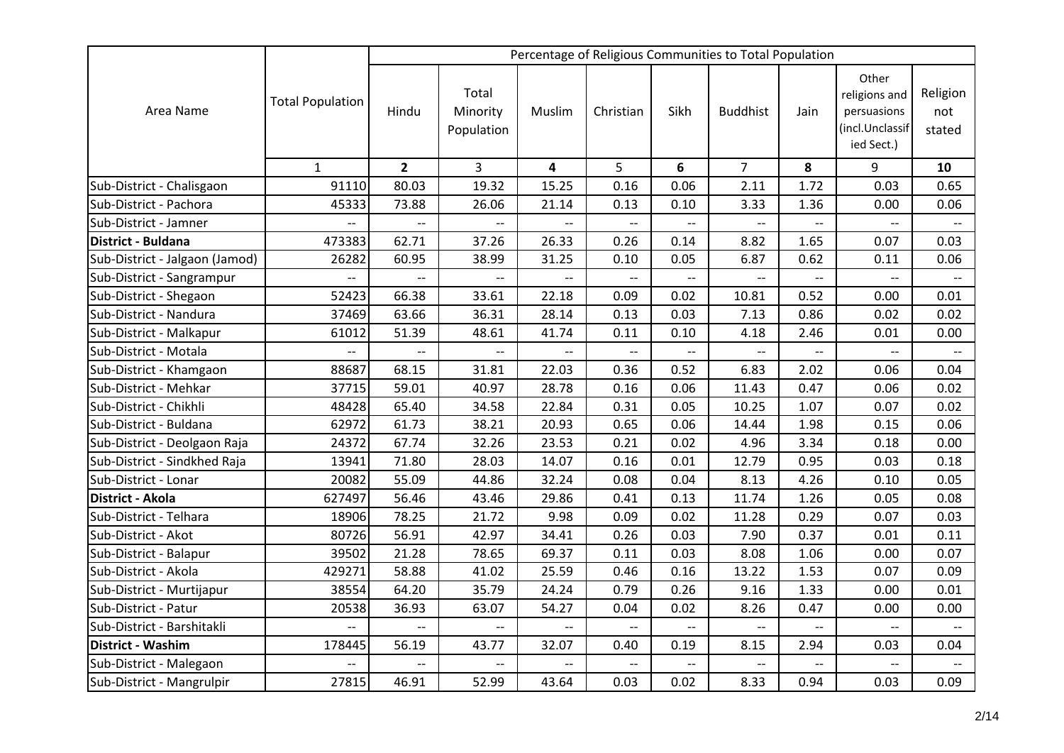|                                |                          |                          |                                 |                          |                          |                          | Percentage of Religious Communities to Total Population |                          |                                                                        |                           |
|--------------------------------|--------------------------|--------------------------|---------------------------------|--------------------------|--------------------------|--------------------------|---------------------------------------------------------|--------------------------|------------------------------------------------------------------------|---------------------------|
| Area Name                      | <b>Total Population</b>  | Hindu                    | Total<br>Minority<br>Population | Muslim                   | Christian                | Sikh                     | <b>Buddhist</b>                                         | Jain                     | Other<br>religions and<br>persuasions<br>(incl.Unclassif<br>ied Sect.) | Religion<br>not<br>stated |
|                                | $\mathbf{1}$             | $\overline{2}$           | $\overline{3}$                  | 4                        | 5                        | 6                        | $\overline{7}$                                          | 8                        | 9                                                                      | 10                        |
| Sub-District - Chalisgaon      | 91110                    | 80.03                    | 19.32                           | 15.25                    | 0.16                     | 0.06                     | 2.11                                                    | 1.72                     | 0.03                                                                   | 0.65                      |
| Sub-District - Pachora         | 45333                    | 73.88                    | 26.06                           | 21.14                    | 0.13                     | 0.10                     | 3.33                                                    | 1.36                     | 0.00                                                                   | 0.06                      |
| Sub-District - Jamner          | --                       |                          |                                 |                          |                          |                          |                                                         |                          |                                                                        |                           |
| District - Buldana             | 473383                   | 62.71                    | 37.26                           | 26.33                    | 0.26                     | 0.14                     | 8.82                                                    | 1.65                     | 0.07                                                                   | 0.03                      |
| Sub-District - Jalgaon (Jamod) | 26282                    | 60.95                    | 38.99                           | 31.25                    | 0.10                     | 0.05                     | 6.87                                                    | 0.62                     | 0.11                                                                   | 0.06                      |
| Sub-District - Sangrampur      | $\overline{a}$           | $-$                      | $\overline{a}$                  | $\overline{a}$           | $\overline{a}$           | $-$                      | $\overline{a}$                                          |                          | $\overline{a}$                                                         |                           |
| Sub-District - Shegaon         | 52423                    | 66.38                    | 33.61                           | 22.18                    | 0.09                     | 0.02                     | 10.81                                                   | 0.52                     | 0.00                                                                   | 0.01                      |
| Sub-District - Nandura         | 37469                    | 63.66                    | 36.31                           | 28.14                    | 0.13                     | 0.03                     | 7.13                                                    | 0.86                     | 0.02                                                                   | 0.02                      |
| Sub-District - Malkapur        | 61012                    | 51.39                    | 48.61                           | 41.74                    | 0.11                     | 0.10                     | 4.18                                                    | 2.46                     | 0.01                                                                   | 0.00                      |
| Sub-District - Motala          | $\overline{\phantom{a}}$ | $\overline{\phantom{a}}$ | $\overline{\phantom{a}}$        | $\overline{a}$           | $\overline{a}$           | --                       | $\overline{\phantom{a}}$                                | --                       | $\overline{a}$                                                         |                           |
| Sub-District - Khamgaon        | 88687                    | 68.15                    | 31.81                           | 22.03                    | 0.36                     | 0.52                     | 6.83                                                    | 2.02                     | 0.06                                                                   | 0.04                      |
| Sub-District - Mehkar          | 37715                    | 59.01                    | 40.97                           | 28.78                    | 0.16                     | 0.06                     | 11.43                                                   | 0.47                     | 0.06                                                                   | 0.02                      |
| Sub-District - Chikhli         | 48428                    | 65.40                    | 34.58                           | 22.84                    | 0.31                     | 0.05                     | 10.25                                                   | 1.07                     | 0.07                                                                   | 0.02                      |
| Sub-District - Buldana         | 62972                    | 61.73                    | 38.21                           | 20.93                    | 0.65                     | 0.06                     | 14.44                                                   | 1.98                     | 0.15                                                                   | 0.06                      |
| Sub-District - Deolgaon Raja   | 24372                    | 67.74                    | 32.26                           | 23.53                    | 0.21                     | 0.02                     | 4.96                                                    | 3.34                     | 0.18                                                                   | 0.00                      |
| Sub-District - Sindkhed Raja   | 13941                    | 71.80                    | 28.03                           | 14.07                    | 0.16                     | 0.01                     | 12.79                                                   | 0.95                     | 0.03                                                                   | 0.18                      |
| Sub-District - Lonar           | 20082                    | 55.09                    | 44.86                           | 32.24                    | 0.08                     | 0.04                     | 8.13                                                    | 4.26                     | 0.10                                                                   | 0.05                      |
| District - Akola               | 627497                   | 56.46                    | 43.46                           | 29.86                    | 0.41                     | 0.13                     | 11.74                                                   | 1.26                     | 0.05                                                                   | 0.08                      |
| Sub-District - Telhara         | 18906                    | 78.25                    | 21.72                           | 9.98                     | 0.09                     | 0.02                     | 11.28                                                   | 0.29                     | 0.07                                                                   | 0.03                      |
| Sub-District - Akot            | 80726                    | 56.91                    | 42.97                           | 34.41                    | 0.26                     | 0.03                     | 7.90                                                    | 0.37                     | 0.01                                                                   | 0.11                      |
| Sub-District - Balapur         | 39502                    | 21.28                    | 78.65                           | 69.37                    | 0.11                     | 0.03                     | 8.08                                                    | 1.06                     | 0.00                                                                   | 0.07                      |
| Sub-District - Akola           | 429271                   | 58.88                    | 41.02                           | 25.59                    | 0.46                     | 0.16                     | 13.22                                                   | 1.53                     | 0.07                                                                   | 0.09                      |
| Sub-District - Murtijapur      | 38554                    | 64.20                    | 35.79                           | 24.24                    | 0.79                     | 0.26                     | 9.16                                                    | 1.33                     | 0.00                                                                   | 0.01                      |
| Sub-District - Patur           | 20538                    | 36.93                    | 63.07                           | 54.27                    | 0.04                     | 0.02                     | 8.26                                                    | 0.47                     | 0.00                                                                   | 0.00                      |
| Sub-District - Barshitakli     | --                       | $\overline{\phantom{a}}$ | $\overline{\phantom{a}}$        | $\overline{\phantom{a}}$ | $\overline{\phantom{a}}$ | $\overline{\phantom{a}}$ | $\overline{\phantom{a}}$                                | $\overline{\phantom{a}}$ | $\overline{\phantom{a}}$                                               | $\overline{\phantom{a}}$  |
| <b>District - Washim</b>       | 178445                   | 56.19                    | 43.77                           | 32.07                    | 0.40                     | 0.19                     | 8.15                                                    | 2.94                     | 0.03                                                                   | 0.04                      |
| Sub-District - Malegaon        | $\overline{\phantom{a}}$ | $\overline{a}$           | $\overline{\phantom{a}}$        | $\overline{\phantom{a}}$ | $- -$                    | $\overline{a}$           | $\overline{\phantom{m}}$                                | $\overline{\phantom{0}}$ | $\overline{\phantom{a}}$                                               |                           |
| Sub-District - Mangrulpir      | 27815                    | 46.91                    | 52.99                           | 43.64                    | 0.03                     | 0.02                     | 8.33                                                    | 0.94                     | 0.03                                                                   | 0.09                      |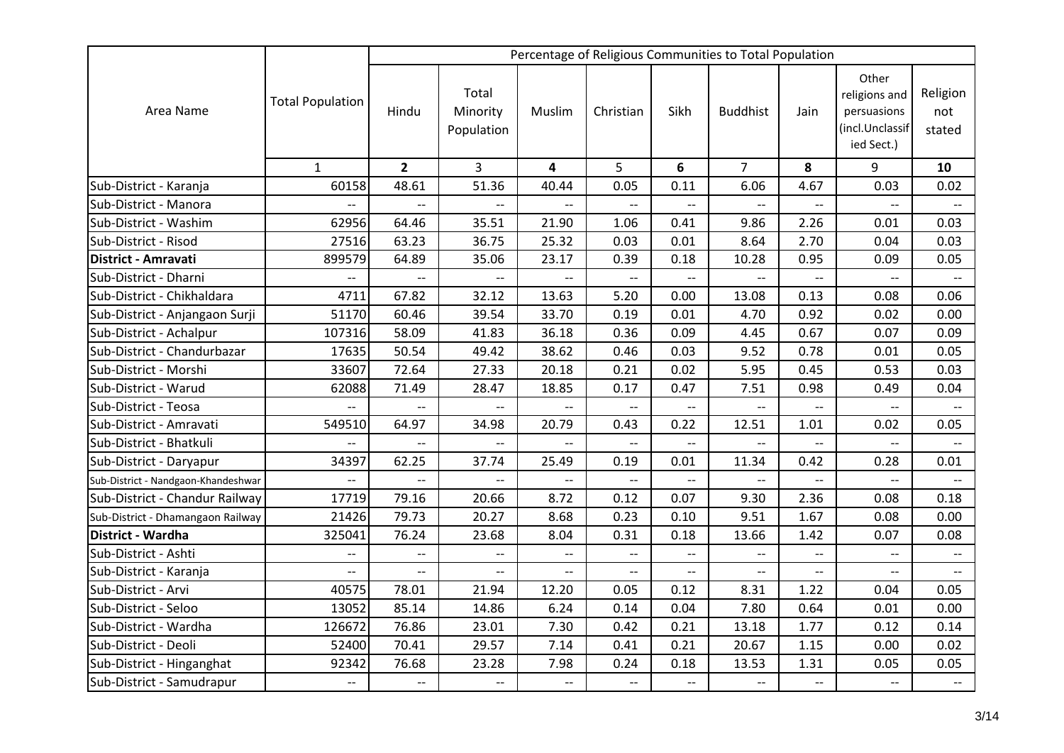|                                     |                          |                          |                                 |                          |                          |                          | Percentage of Religious Communities to Total Population |                          |                                                                        |                           |
|-------------------------------------|--------------------------|--------------------------|---------------------------------|--------------------------|--------------------------|--------------------------|---------------------------------------------------------|--------------------------|------------------------------------------------------------------------|---------------------------|
| Area Name                           | <b>Total Population</b>  | Hindu                    | Total<br>Minority<br>Population | Muslim                   | Christian                | Sikh                     | <b>Buddhist</b>                                         | Jain                     | Other<br>religions and<br>persuasions<br>(incl.Unclassif<br>ied Sect.) | Religion<br>not<br>stated |
|                                     | $\mathbf{1}$             | $\overline{2}$           | $\overline{3}$                  | 4                        | 5                        | 6                        | $\overline{7}$                                          | 8                        | 9                                                                      | 10                        |
| Sub-District - Karanja              | 60158                    | 48.61                    | 51.36                           | 40.44                    | 0.05                     | 0.11                     | 6.06                                                    | 4.67                     | 0.03                                                                   | 0.02                      |
| Sub-District - Manora               | --                       | $\overline{a}$           | $-$                             | $\overline{a}$           | $\overline{\phantom{0}}$ | --                       |                                                         | $\overline{a}$           | $\overline{a}$                                                         | $\overline{\phantom{a}}$  |
| Sub-District - Washim               | 62956                    | 64.46                    | 35.51                           | 21.90                    | 1.06                     | 0.41                     | 9.86                                                    | 2.26                     | 0.01                                                                   | 0.03                      |
| Sub-District - Risod                | 27516                    | 63.23                    | 36.75                           | 25.32                    | 0.03                     | 0.01                     | 8.64                                                    | 2.70                     | 0.04                                                                   | 0.03                      |
| District - Amravati                 | 899579                   | 64.89                    | 35.06                           | 23.17                    | 0.39                     | 0.18                     | 10.28                                                   | 0.95                     | 0.09                                                                   | 0.05                      |
| Sub-District - Dharni               | $\overline{\phantom{0}}$ | $\overline{a}$           | $-$                             | $\overline{a}$           | $-$                      | $\overline{a}$           |                                                         |                          | $\overline{a}$                                                         | $\overline{\phantom{0}}$  |
| Sub-District - Chikhaldara          | 4711                     | 67.82                    | 32.12                           | 13.63                    | 5.20                     | 0.00                     | 13.08                                                   | 0.13                     | 0.08                                                                   | 0.06                      |
| Sub-District - Anjangaon Surji      | 51170                    | 60.46                    | 39.54                           | 33.70                    | 0.19                     | 0.01                     | 4.70                                                    | 0.92                     | 0.02                                                                   | 0.00                      |
| Sub-District - Achalpur             | 107316                   | 58.09                    | 41.83                           | 36.18                    | 0.36                     | 0.09                     | 4.45                                                    | 0.67                     | 0.07                                                                   | 0.09                      |
| Sub-District - Chandurbazar         | 17635                    | 50.54                    | 49.42                           | 38.62                    | 0.46                     | 0.03                     | 9.52                                                    | 0.78                     | 0.01                                                                   | 0.05                      |
| Sub-District - Morshi               | 33607                    | 72.64                    | 27.33                           | 20.18                    | 0.21                     | 0.02                     | 5.95                                                    | 0.45                     | 0.53                                                                   | 0.03                      |
| Sub-District - Warud                | 62088                    | 71.49                    | 28.47                           | 18.85                    | 0.17                     | 0.47                     | 7.51                                                    | 0.98                     | 0.49                                                                   | 0.04                      |
| Sub-District - Teosa                | $\overline{\phantom{a}}$ | $-$                      | $\overline{\phantom{a}}$        | $\overline{\phantom{m}}$ | $- -$                    | $\overline{\phantom{a}}$ | $\overline{\phantom{a}}$                                |                          | $\overline{\phantom{a}}$                                               |                           |
| Sub-District - Amravati             | 549510                   | 64.97                    | 34.98                           | 20.79                    | 0.43                     | 0.22                     | 12.51                                                   | 1.01                     | 0.02                                                                   | 0.05                      |
| Sub-District - Bhatkuli             | $\overline{a}$           | $-$                      | $\overline{\phantom{a}}$        | $\overline{a}$           | $-$                      | $-$                      |                                                         | $\overline{\phantom{a}}$ | $\overline{a}$                                                         | $\overline{\phantom{a}}$  |
| Sub-District - Daryapur             | 34397                    | 62.25                    | 37.74                           | 25.49                    | 0.19                     | 0.01                     | 11.34                                                   | 0.42                     | 0.28                                                                   | 0.01                      |
| Sub-District - Nandgaon-Khandeshwar | --                       | --                       | $\overline{\phantom{a}}$        | $\overline{\phantom{a}}$ | $\overline{\phantom{a}}$ | $\overline{\phantom{a}}$ | $-\hbox{--}$                                            | $\overline{\phantom{a}}$ | $\overline{\phantom{a}}$                                               | $\overline{\phantom{a}}$  |
| Sub-District - Chandur Railway      | 17719                    | 79.16                    | 20.66                           | 8.72                     | 0.12                     | 0.07                     | 9.30                                                    | 2.36                     | 0.08                                                                   | 0.18                      |
| Sub-District - Dhamangaon Railway   | 21426                    | 79.73                    | 20.27                           | 8.68                     | 0.23                     | 0.10                     | 9.51                                                    | 1.67                     | 0.08                                                                   | 0.00                      |
| District - Wardha                   | 325041                   | 76.24                    | 23.68                           | 8.04                     | 0.31                     | 0.18                     | 13.66                                                   | 1.42                     | 0.07                                                                   | 0.08                      |
| Sub-District - Ashti                | $\overline{\phantom{a}}$ | $\overline{a}$           | $\overline{\phantom{a}}$        | $\overline{\phantom{a}}$ | $\overline{a}$           | $\overline{\phantom{a}}$ |                                                         | $\overline{\phantom{a}}$ | $-$                                                                    |                           |
| Sub-District - Karanja              | --                       | $\overline{a}$           | $\overline{\phantom{a}}$        | $\overline{\phantom{a}}$ | $\overline{a}$           | --                       | $\overline{\phantom{a}}$                                |                          | $\overline{\phantom{0}}$                                               |                           |
| Sub-District - Arvi                 | 40575                    | 78.01                    | 21.94                           | 12.20                    | 0.05                     | 0.12                     | 8.31                                                    | 1.22                     | 0.04                                                                   | 0.05                      |
| Sub-District - Seloo                | 13052                    | 85.14                    | 14.86                           | 6.24                     | 0.14                     | 0.04                     | 7.80                                                    | 0.64                     | 0.01                                                                   | 0.00                      |
| Sub-District - Wardha               | 126672                   | 76.86                    | 23.01                           | 7.30                     | 0.42                     | 0.21                     | 13.18                                                   | 1.77                     | 0.12                                                                   | 0.14                      |
| Sub-District - Deoli                | 52400                    | 70.41                    | 29.57                           | 7.14                     | 0.41                     | 0.21                     | 20.67                                                   | 1.15                     | 0.00                                                                   | 0.02                      |
| Sub-District - Hinganghat           | 92342                    | 76.68                    | 23.28                           | 7.98                     | 0.24                     | 0.18                     | 13.53                                                   | 1.31                     | 0.05                                                                   | 0.05                      |
| Sub-District - Samudrapur           | $\overline{\phantom{a}}$ | $\overline{\phantom{a}}$ | $\overline{\phantom{a}}$        | $\overline{\phantom{a}}$ | $-$                      | --                       | $\overline{\phantom{m}}$                                | $\overline{\phantom{a}}$ | $\overline{a}$                                                         | $\overline{\phantom{a}}$  |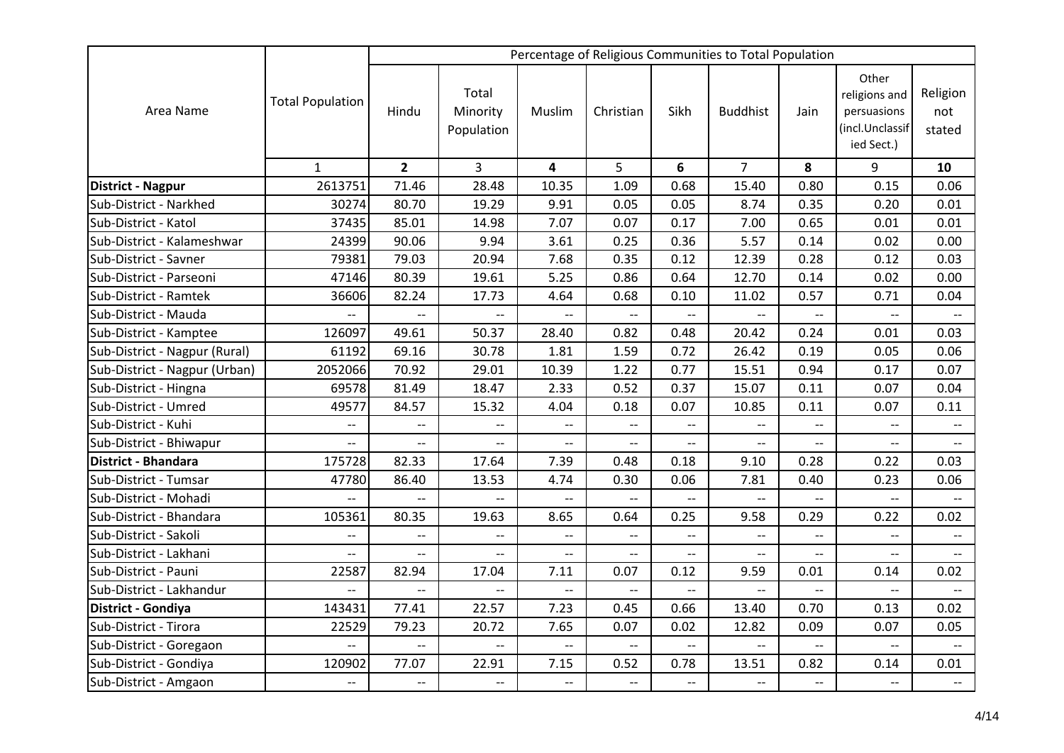|                               |                          |                          |                                 |                          |                          |                          | Percentage of Religious Communities to Total Population |                          |                                                                        |                           |
|-------------------------------|--------------------------|--------------------------|---------------------------------|--------------------------|--------------------------|--------------------------|---------------------------------------------------------|--------------------------|------------------------------------------------------------------------|---------------------------|
| Area Name                     | <b>Total Population</b>  | Hindu                    | Total<br>Minority<br>Population | Muslim                   | Christian                | Sikh                     | <b>Buddhist</b>                                         | Jain                     | Other<br>religions and<br>persuasions<br>(incl.Unclassif<br>ied Sect.) | Religion<br>not<br>stated |
|                               | $\mathbf{1}$             | $\overline{2}$           | $\overline{3}$                  | 4                        | 5                        | 6                        | $\overline{7}$                                          | 8                        | 9                                                                      | 10                        |
| District - Nagpur             | 2613751                  | 71.46                    | 28.48                           | 10.35                    | 1.09                     | 0.68                     | 15.40                                                   | 0.80                     | 0.15                                                                   | 0.06                      |
| Sub-District - Narkhed        | 30274                    | 80.70                    | 19.29                           | 9.91                     | 0.05                     | 0.05                     | 8.74                                                    | 0.35                     | 0.20                                                                   | 0.01                      |
| Sub-District - Katol          | 37435                    | 85.01                    | 14.98                           | 7.07                     | 0.07                     | 0.17                     | 7.00                                                    | 0.65                     | 0.01                                                                   | 0.01                      |
| Sub-District - Kalameshwar    | 24399                    | 90.06                    | 9.94                            | 3.61                     | 0.25                     | 0.36                     | 5.57                                                    | 0.14                     | 0.02                                                                   | 0.00                      |
| Sub-District - Savner         | 79381                    | 79.03                    | 20.94                           | 7.68                     | 0.35                     | 0.12                     | 12.39                                                   | 0.28                     | 0.12                                                                   | 0.03                      |
| Sub-District - Parseoni       | 47146                    | 80.39                    | 19.61                           | 5.25                     | 0.86                     | 0.64                     | 12.70                                                   | 0.14                     | 0.02                                                                   | 0.00                      |
| Sub-District - Ramtek         | 36606                    | 82.24                    | 17.73                           | 4.64                     | 0.68                     | 0.10                     | 11.02                                                   | 0.57                     | 0.71                                                                   | 0.04                      |
| Sub-District - Mauda          | $\overline{\phantom{a}}$ | $\overline{a}$           | $\overline{\phantom{a}}$        | $\overline{\phantom{a}}$ | $-$                      | $\overline{\phantom{m}}$ | $\overline{\phantom{a}}$                                | $\overline{\phantom{a}}$ | $\overline{a}$                                                         | $\overline{\phantom{a}}$  |
| Sub-District - Kamptee        | 126097                   | 49.61                    | 50.37                           | 28.40                    | 0.82                     | 0.48                     | 20.42                                                   | 0.24                     | 0.01                                                                   | 0.03                      |
| Sub-District - Nagpur (Rural) | 61192                    | 69.16                    | 30.78                           | 1.81                     | 1.59                     | 0.72                     | 26.42                                                   | 0.19                     | 0.05                                                                   | 0.06                      |
| Sub-District - Nagpur (Urban) | 2052066                  | 70.92                    | 29.01                           | 10.39                    | 1.22                     | 0.77                     | 15.51                                                   | 0.94                     | 0.17                                                                   | 0.07                      |
| Sub-District - Hingna         | 69578                    | 81.49                    | 18.47                           | 2.33                     | 0.52                     | 0.37                     | 15.07                                                   | 0.11                     | 0.07                                                                   | 0.04                      |
| Sub-District - Umred          | 49577                    | 84.57                    | 15.32                           | 4.04                     | 0.18                     | 0.07                     | 10.85                                                   | 0.11                     | 0.07                                                                   | 0.11                      |
| Sub-District - Kuhi           | $\overline{\phantom{m}}$ | $\overline{\phantom{a}}$ | $\overline{\phantom{m}}$        | $-$                      | $\overline{\phantom{a}}$ | $\overline{\phantom{a}}$ | $\overline{a}$                                          | $-$                      | $-$                                                                    | $\overline{\phantom{a}}$  |
| Sub-District - Bhiwapur       | $\overline{\phantom{a}}$ | $-$                      | $\overline{\phantom{a}}$        | $\overline{a}$           | $- -$                    | $-$                      | $\overline{a}$                                          | --                       | $\overline{a}$                                                         | $\overline{a}$            |
| <b>District - Bhandara</b>    | 175728                   | 82.33                    | 17.64                           | 7.39                     | 0.48                     | 0.18                     | 9.10                                                    | 0.28                     | 0.22                                                                   | 0.03                      |
| Sub-District - Tumsar         | 47780                    | 86.40                    | 13.53                           | 4.74                     | 0.30                     | 0.06                     | 7.81                                                    | 0.40                     | 0.23                                                                   | 0.06                      |
| Sub-District - Mohadi         | $\overline{\phantom{a}}$ | $\overline{\phantom{0}}$ | $\overline{\phantom{a}}$        | $\overline{\phantom{0}}$ | $\overline{\phantom{0}}$ | $\overline{a}$           | $\overline{\phantom{a}}$                                | $\overline{a}$           | $\overline{a}$                                                         |                           |
| Sub-District - Bhandara       | 105361                   | 80.35                    | 19.63                           | 8.65                     | 0.64                     | 0.25                     | 9.58                                                    | 0.29                     | 0.22                                                                   | 0.02                      |
| Sub-District - Sakoli         | $\overline{\phantom{0}}$ | $\overline{a}$           | $\overline{a}$                  | --                       | $-$                      | $-$                      |                                                         | $\overline{a}$           | $\overline{a}$                                                         | $\overline{a}$            |
| Sub-District - Lakhani        | $\overline{\phantom{a}}$ | $\overline{a}$           | $\overline{\phantom{a}}$        | $\overline{\phantom{a}}$ | $\overline{\phantom{a}}$ | --                       | $\overline{\phantom{a}}$                                | $\overline{a}$           | $-$                                                                    | $\overline{\phantom{0}}$  |
| Sub-District - Pauni          | 22587                    | 82.94                    | 17.04                           | 7.11                     | 0.07                     | 0.12                     | 9.59                                                    | 0.01                     | 0.14                                                                   | 0.02                      |
| Sub-District - Lakhandur      | $\overline{\phantom{a}}$ | $-$                      | $\overline{\phantom{a}}$        | $\overline{\phantom{a}}$ | $- -$                    | --                       | $\overline{\phantom{0}}$                                | $\overline{\phantom{0}}$ | $-$                                                                    |                           |
| District - Gondiya            | 143431                   | 77.41                    | 22.57                           | 7.23                     | 0.45                     | 0.66                     | 13.40                                                   | 0.70                     | 0.13                                                                   | 0.02                      |
| Sub-District - Tirora         | 22529                    | 79.23                    | 20.72                           | 7.65                     | 0.07                     | 0.02                     | 12.82                                                   | 0.09                     | 0.07                                                                   | 0.05                      |
| Sub-District - Goregaon       | $--$                     | $\overline{\phantom{a}}$ | $\overline{\phantom{a}}$        | $\overline{\phantom{a}}$ | $\overline{\phantom{a}}$ | $\overline{\phantom{a}}$ | $\hspace{0.05cm} -\hspace{0.05cm} -\hspace{0.05cm}$     | $--$                     | $\overline{\phantom{a}}$                                               | $\overline{\phantom{a}}$  |
| Sub-District - Gondiya        | 120902                   | 77.07                    | 22.91                           | 7.15                     | 0.52                     | 0.78                     | 13.51                                                   | 0.82                     | 0.14                                                                   | 0.01                      |
| Sub-District - Amgaon         | $\overline{\phantom{a}}$ | $\overline{\phantom{a}}$ | $\overline{\phantom{a}}$        | $\overline{\phantom{a}}$ | $- -$                    | $-$                      | $\overline{\phantom{m}}$                                | $-$                      | $-$                                                                    | $\overline{\phantom{a}}$  |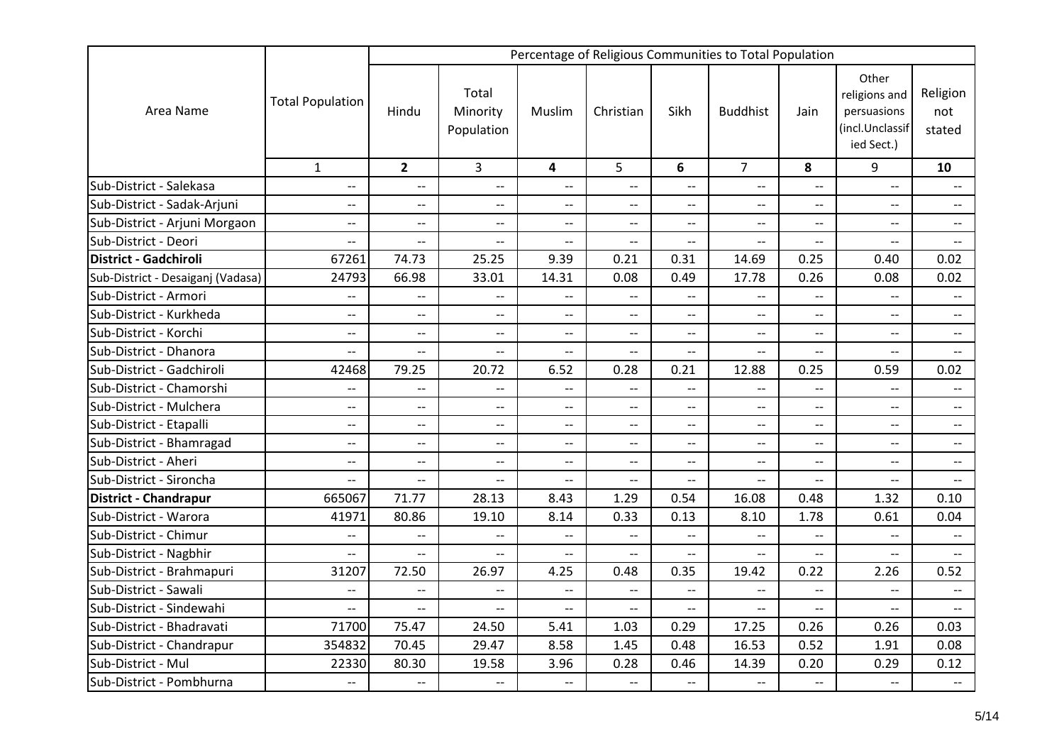|                                   |                          |                               |                                 |                          |                               |                          | Percentage of Religious Communities to Total Population |                                                     |                                                                        |                               |
|-----------------------------------|--------------------------|-------------------------------|---------------------------------|--------------------------|-------------------------------|--------------------------|---------------------------------------------------------|-----------------------------------------------------|------------------------------------------------------------------------|-------------------------------|
| Area Name                         | <b>Total Population</b>  | Hindu                         | Total<br>Minority<br>Population | Muslim                   | Christian                     | Sikh                     | <b>Buddhist</b>                                         | Jain                                                | Other<br>religions and<br>persuasions<br>(incl.Unclassif<br>ied Sect.) | Religion<br>not<br>stated     |
|                                   | $\mathbf{1}$             | $\overline{2}$                | $\overline{3}$                  | 4                        | 5                             | 6                        | $\overline{7}$                                          | 8                                                   | 9                                                                      | 10                            |
| Sub-District - Salekasa           | $\overline{\phantom{a}}$ | $\overline{\phantom{a}}$      | $-$                             | $\overline{\phantom{0}}$ | $\overline{\phantom{m}}$      | $-$                      | $\overline{\phantom{a}}$                                | $\overline{\phantom{a}}$                            | $\overline{\phantom{a}}$                                               | $\overline{\phantom{a}}$      |
| Sub-District - Sadak-Arjuni       | $-$                      | $\overline{\phantom{a}}$      | $-$                             | $- -$                    | $\overline{\phantom{a}}$      | $-$                      | $\overline{\phantom{a}}$                                | $-$                                                 | $-$                                                                    | $\overline{a}$                |
| Sub-District - Arjuni Morgaon     | $-$                      | $-$                           | $-$                             | $-$                      | $\overline{a}$                | $-$                      | $\qquad \qquad -$                                       | $\overline{a}$                                      | $-$                                                                    | $\overline{\phantom{a}}$      |
| Sub-District - Deori              | $-$                      | $\overline{\phantom{a}}$      | $-$                             | $-$                      | $\overline{\phantom{a}}$      | $\overline{\phantom{a}}$ | $\overline{\phantom{m}}$                                | $\overline{a}$                                      | $- -$                                                                  | $\overline{\phantom{a}}$      |
| <b>District - Gadchiroli</b>      | 67261                    | 74.73                         | 25.25                           | 9.39                     | 0.21                          | 0.31                     | 14.69                                                   | 0.25                                                | 0.40                                                                   | 0.02                          |
| Sub-District - Desaiganj (Vadasa) | 24793                    | 66.98                         | 33.01                           | 14.31                    | 0.08                          | 0.49                     | 17.78                                                   | 0.26                                                | 0.08                                                                   | 0.02                          |
| Sub-District - Armori             | $-$                      | $- -$                         | $-$                             | $-$                      | $\overline{\phantom{a}}$      | $\overline{\phantom{a}}$ | $\overline{\phantom{a}}$                                | $-$                                                 | $-$                                                                    | $\overline{\phantom{a}}$      |
| Sub-District - Kurkheda           | --                       | $\overline{\phantom{m}}$      | $- -$                           | $- -$                    | $\overline{\phantom{a}}$      | $-$                      | $--$                                                    | $-$                                                 | $\overline{\phantom{a}}$                                               | $\overline{\phantom{a}}$      |
| Sub-District - Korchi             | $\overline{\phantom{a}}$ | $\hspace{0.05cm} \textbf{--}$ | $\overline{\phantom{a}}$        | $\overline{\phantom{a}}$ | $\hspace{0.05cm} \textbf{--}$ | $- -$                    | $\overline{\phantom{a}}$                                | $\hspace{0.05cm} -\hspace{0.05cm} -\hspace{0.05cm}$ | $\hspace{0.05cm} \textbf{--}$                                          | $\overline{\phantom{a}}$      |
| Sub-District - Dhanora            | --                       | $\overline{\phantom{a}}$      | $-$                             | $\overline{\phantom{a}}$ | $\overline{\phantom{a}}$      | $-$                      | $\overline{\phantom{a}}$                                | $\overline{\phantom{0}}$                            | $\overline{\phantom{a}}$                                               | $---$                         |
| Sub-District - Gadchiroli         | 42468                    | 79.25                         | 20.72                           | 6.52                     | 0.28                          | 0.21                     | 12.88                                                   | 0.25                                                | 0.59                                                                   | 0.02                          |
| Sub-District - Chamorshi          | --                       | $\overline{a}$                | --                              | $-$                      | $\overline{\phantom{a}}$      | $-$                      |                                                         |                                                     | $\overline{\phantom{a}}$                                               |                               |
| Sub-District - Mulchera           | $\overline{\phantom{a}}$ | $\overline{\phantom{a}}$      | $\overline{\phantom{a}}$        | $\overline{\phantom{a}}$ | $\overline{\phantom{a}}$      | $-$                      | $\overline{\phantom{a}}$                                | $\overline{\phantom{m}}$                            | $- -$                                                                  | $--$                          |
| Sub-District - Etapalli           | $\overline{\phantom{0}}$ | $\overline{\phantom{a}}$      | $\overline{a}$                  | $\overline{\phantom{a}}$ | $\overline{\phantom{a}}$      | $-$                      | $\overline{\phantom{a}}$                                | $\overline{\phantom{a}}$                            | $-$                                                                    | $\overline{\phantom{a}}$      |
| Sub-District - Bhamragad          | $\overline{\phantom{a}}$ | $\overline{\phantom{m}}$      | $-$                             | $- -$                    | $\overline{\phantom{a}}$      | $-$                      | $\overline{a}$                                          | --                                                  | $- -$                                                                  | $\overline{\phantom{a}}$      |
| Sub-District - Aheri              | --                       | $-$                           | $\overline{a}$                  | $-$                      | $-$                           | $-$                      | $\overline{\phantom{a}}$                                | --                                                  | $-$                                                                    | $\overline{\phantom{a}}$      |
| Sub-District - Sironcha           | --                       | $-\!$                         | $- -$                           | $\overline{\phantom{a}}$ | $\overline{\phantom{a}}$      | $\overline{\phantom{a}}$ | $\overline{\phantom{a}}$                                | $\hspace{0.05cm} -\hspace{0.05cm} -\hspace{0.05cm}$ | $\overline{\phantom{a}}$                                               | $\hspace{0.05cm} \textbf{--}$ |
| <b>District - Chandrapur</b>      | 665067                   | 71.77                         | 28.13                           | 8.43                     | 1.29                          | 0.54                     | 16.08                                                   | 0.48                                                | 1.32                                                                   | 0.10                          |
| Sub-District - Warora             | 41971                    | 80.86                         | 19.10                           | 8.14                     | 0.33                          | 0.13                     | 8.10                                                    | 1.78                                                | 0.61                                                                   | 0.04                          |
| Sub-District - Chimur             | $-$                      | $-$                           | $-$                             | $\overline{a}$           | $\overline{\phantom{0}}$      | $\overline{a}$           | $\overline{\phantom{0}}$                                | --                                                  | $\overline{a}$                                                         | $\overline{a}$                |
| Sub-District - Nagbhir            | --                       | $\overline{\phantom{a}}$      | $-$                             | $\overline{\phantom{a}}$ | $\overline{\phantom{a}}$      | $\overline{a}$           | $\overline{\phantom{a}}$                                | $\overline{a}$                                      | $-$                                                                    | $\overline{a}$                |
| Sub-District - Brahmapuri         | 31207                    | 72.50                         | 26.97                           | 4.25                     | 0.48                          | 0.35                     | 19.42                                                   | 0.22                                                | 2.26                                                                   | 0.52                          |
| Sub-District - Sawali             | $- -$                    | $\overline{\phantom{a}}$      | $\overline{\phantom{a}}$        | $-$                      | $\overline{\phantom{a}}$      | $-$                      | $\overline{\phantom{a}}$                                | $\overline{\phantom{a}}$                            | $\overline{a}$                                                         | $\overline{\phantom{a}}$      |
| Sub-District - Sindewahi          | --                       | $\overline{\phantom{a}}$      | $-$                             | $\overline{\phantom{a}}$ | $\overline{\phantom{a}}$      | $-$                      | $\overline{a}$                                          | $\overline{a}$                                      | $\overline{a}$                                                         | $\overline{\phantom{a}}$      |
| Sub-District - Bhadravati         | 71700                    | 75.47                         | 24.50                           | 5.41                     | 1.03                          | 0.29                     | 17.25                                                   | 0.26                                                | 0.26                                                                   | 0.03                          |
| Sub-District - Chandrapur         | 354832                   | 70.45                         | 29.47                           | 8.58                     | 1.45                          | 0.48                     | 16.53                                                   | 0.52                                                | 1.91                                                                   | 0.08                          |
| Sub-District - Mul                | 22330                    | 80.30                         | 19.58                           | 3.96                     | 0.28                          | 0.46                     | 14.39                                                   | 0.20                                                | 0.29                                                                   | 0.12                          |
| Sub-District - Pombhurna          | $\overline{\phantom{a}}$ | $\overline{\phantom{a}}$      | $-$                             | $- -$                    | $\overline{\phantom{a}}$      | $--$                     | $--$                                                    | $\overline{\phantom{a}}$                            | $-$                                                                    | $\overline{\phantom{a}}$      |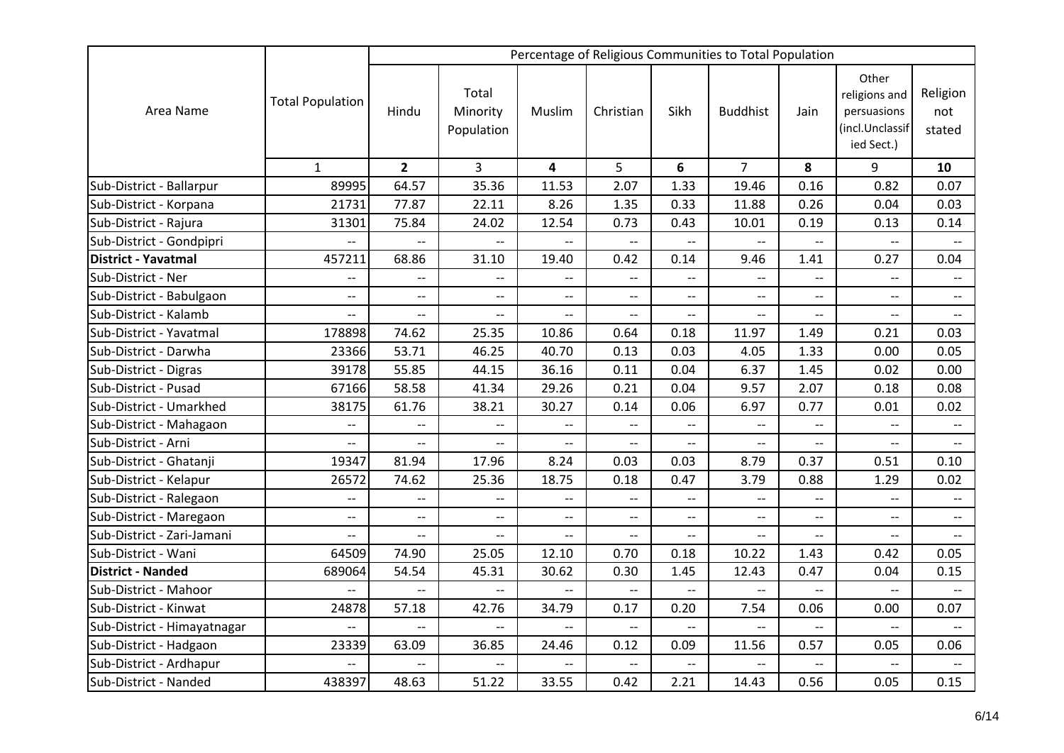|                             |                          |                          |                                 |                               |                          |                          | Percentage of Religious Communities to Total Population |                          |                                                                        |                                                     |
|-----------------------------|--------------------------|--------------------------|---------------------------------|-------------------------------|--------------------------|--------------------------|---------------------------------------------------------|--------------------------|------------------------------------------------------------------------|-----------------------------------------------------|
| Area Name                   | <b>Total Population</b>  | Hindu                    | Total<br>Minority<br>Population | Muslim                        | Christian                | Sikh                     | <b>Buddhist</b>                                         | Jain                     | Other<br>religions and<br>persuasions<br>(incl.Unclassif<br>ied Sect.) | Religion<br>not<br>stated                           |
|                             | $\mathbf{1}$             | $\overline{2}$           | $\overline{3}$                  | 4                             | 5                        | 6                        | $\overline{7}$                                          | 8                        | 9                                                                      | 10                                                  |
| Sub-District - Ballarpur    | 89995                    | 64.57                    | 35.36                           | 11.53                         | 2.07                     | 1.33                     | 19.46                                                   | 0.16                     | 0.82                                                                   | 0.07                                                |
| Sub-District - Korpana      | 21731                    | 77.87                    | 22.11                           | 8.26                          | 1.35                     | 0.33                     | 11.88                                                   | 0.26                     | 0.04                                                                   | 0.03                                                |
| Sub-District - Rajura       | 31301                    | 75.84                    | 24.02                           | 12.54                         | 0.73                     | 0.43                     | 10.01                                                   | 0.19                     | 0.13                                                                   | 0.14                                                |
| Sub-District - Gondpipri    | $\overline{\phantom{a}}$ | $\overline{a}$           | $\overline{\phantom{a}}$        | $\overline{\phantom{a}}$      | $\overline{\phantom{a}}$ | $\overline{\phantom{a}}$ | $\overline{\phantom{m}}$                                | $\overline{\phantom{a}}$ | $\overline{\phantom{a}}$                                               |                                                     |
| <b>District - Yavatmal</b>  | 457211                   | 68.86                    | 31.10                           | 19.40                         | 0.42                     | 0.14                     | 9.46                                                    | 1.41                     | 0.27                                                                   | 0.04                                                |
| Sub-District - Ner          | $\overline{\phantom{m}}$ | $- -$                    | $\overline{\phantom{a}}$        | $\overline{\phantom{a}}$      | $-$                      | $\overline{a}$           | $-$                                                     | $-$                      | $- -$                                                                  | $-$                                                 |
| Sub-District - Babulgaon    | $\overline{\phantom{0}}$ | $\overline{\phantom{a}}$ | $\overline{\phantom{a}}$        | $\overline{\phantom{a}}$      | $\overline{\phantom{a}}$ | $-$                      | $\overline{\phantom{a}}$                                |                          | $\overline{a}$                                                         | $\overline{\phantom{a}}$                            |
| Sub-District - Kalamb       | $--$                     | $\overline{\phantom{a}}$ | $\overline{\phantom{a}}$        | $\hspace{0.05cm} \textbf{--}$ | $\overline{\phantom{a}}$ | $\overline{\phantom{a}}$ | $-\!$                                                   | $--$                     | $\overline{a}$                                                         | $\hspace{0.05cm} -\hspace{0.05cm} -\hspace{0.05cm}$ |
| Sub-District - Yavatmal     | 178898                   | 74.62                    | 25.35                           | 10.86                         | 0.64                     | 0.18                     | 11.97                                                   | 1.49                     | 0.21                                                                   | 0.03                                                |
| Sub-District - Darwha       | 23366                    | 53.71                    | 46.25                           | 40.70                         | 0.13                     | 0.03                     | 4.05                                                    | 1.33                     | 0.00                                                                   | 0.05                                                |
| Sub-District - Digras       | 39178                    | 55.85                    | 44.15                           | 36.16                         | 0.11                     | 0.04                     | 6.37                                                    | 1.45                     | 0.02                                                                   | 0.00                                                |
| Sub-District - Pusad        | 67166                    | 58.58                    | 41.34                           | 29.26                         | 0.21                     | 0.04                     | 9.57                                                    | 2.07                     | 0.18                                                                   | 0.08                                                |
| Sub-District - Umarkhed     | 38175                    | 61.76                    | 38.21                           | 30.27                         | 0.14                     | 0.06                     | 6.97                                                    | 0.77                     | 0.01                                                                   | 0.02                                                |
| Sub-District - Mahagaon     | $\overline{\phantom{a}}$ | $\overline{\phantom{m}}$ | $\overline{\phantom{m}}$        | $\overline{\phantom{m}}$      | $\overline{\phantom{m}}$ | $-$                      | $\overline{\phantom{m}}$                                | $- -$                    | $-$                                                                    | $\overline{\phantom{m}}$                            |
| Sub-District - Arni         | --                       | $\overline{\phantom{a}}$ | $\overline{\phantom{a}}$        | $-$                           | $\overline{\phantom{0}}$ | $-$                      | $\overline{\phantom{a}}$                                | $-$                      | $-$                                                                    | $-$                                                 |
| Sub-District - Ghatanji     | 19347                    | 81.94                    | 17.96                           | 8.24                          | 0.03                     | 0.03                     | 8.79                                                    | 0.37                     | 0.51                                                                   | 0.10                                                |
| Sub-District - Kelapur      | 26572                    | 74.62                    | 25.36                           | 18.75                         | 0.18                     | 0.47                     | 3.79                                                    | 0.88                     | 1.29                                                                   | 0.02                                                |
| Sub-District - Ralegaon     | $\overline{\phantom{a}}$ | $\overline{a}$           | $\overline{\phantom{a}}$        | $\overline{\phantom{a}}$      | $\overline{\phantom{a}}$ | $-$                      | $\overline{\phantom{m}}$                                | $\overline{\phantom{a}}$ | $\overline{\phantom{0}}$                                               | $\overline{\phantom{a}}$                            |
| Sub-District - Maregaon     | $-$                      | $\overline{a}$           | $-$                             | $\overline{a}$                | $-$                      | --                       | $-$                                                     | --                       | $-$                                                                    | $\overline{\phantom{a}}$                            |
| Sub-District - Zari-Jamani  | $-$                      | $- -$                    | $\overline{\phantom{m}}$        | $-$                           | $\overline{\phantom{a}}$ | $-$                      | $\overline{\phantom{a}}$                                | $-$                      | $-$                                                                    | $\overline{\phantom{a}}$                            |
| Sub-District - Wani         | 64509                    | 74.90                    | 25.05                           | 12.10                         | 0.70                     | 0.18                     | 10.22                                                   | 1.43                     | 0.42                                                                   | 0.05                                                |
| <b>District - Nanded</b>    | 689064                   | 54.54                    | 45.31                           | 30.62                         | 0.30                     | 1.45                     | 12.43                                                   | 0.47                     | 0.04                                                                   | 0.15                                                |
| Sub-District - Mahoor       | $\overline{a}$           | $\overline{a}$           | $\overline{a}$                  | $\overline{a}$                | $\overline{a}$           | $\overline{a}$           |                                                         |                          | $\overline{a}$                                                         |                                                     |
| Sub-District - Kinwat       | 24878                    | 57.18                    | 42.76                           | 34.79                         | 0.17                     | 0.20                     | 7.54                                                    | 0.06                     | 0.00                                                                   | 0.07                                                |
| Sub-District - Himayatnagar | $\overline{\phantom{0}}$ | $\overline{\phantom{a}}$ | $\overline{\phantom{m}}$        | $\overline{\phantom{m}}$      | $\overline{\phantom{a}}$ | $\overline{\phantom{a}}$ | $\overline{\phantom{m}}$                                | $\overline{\phantom{a}}$ | $\overline{\phantom{a}}$                                               | $\qquad \qquad -$                                   |
| Sub-District - Hadgaon      | 23339                    | 63.09                    | 36.85                           | 24.46                         | 0.12                     | 0.09                     | 11.56                                                   | 0.57                     | 0.05                                                                   | 0.06                                                |
| Sub-District - Ardhapur     | $-$                      | $\overline{a}$           | $\overline{\phantom{a}}$        | $\overline{\phantom{a}}$      | $-$                      | --                       | $\overline{\phantom{a}}$                                | $\overline{\phantom{a}}$ | $\overline{a}$                                                         | $\overline{\phantom{a}}$                            |
| Sub-District - Nanded       | 438397                   | 48.63                    | 51.22                           | 33.55                         | 0.42                     | 2.21                     | 14.43                                                   | 0.56                     | 0.05                                                                   | 0.15                                                |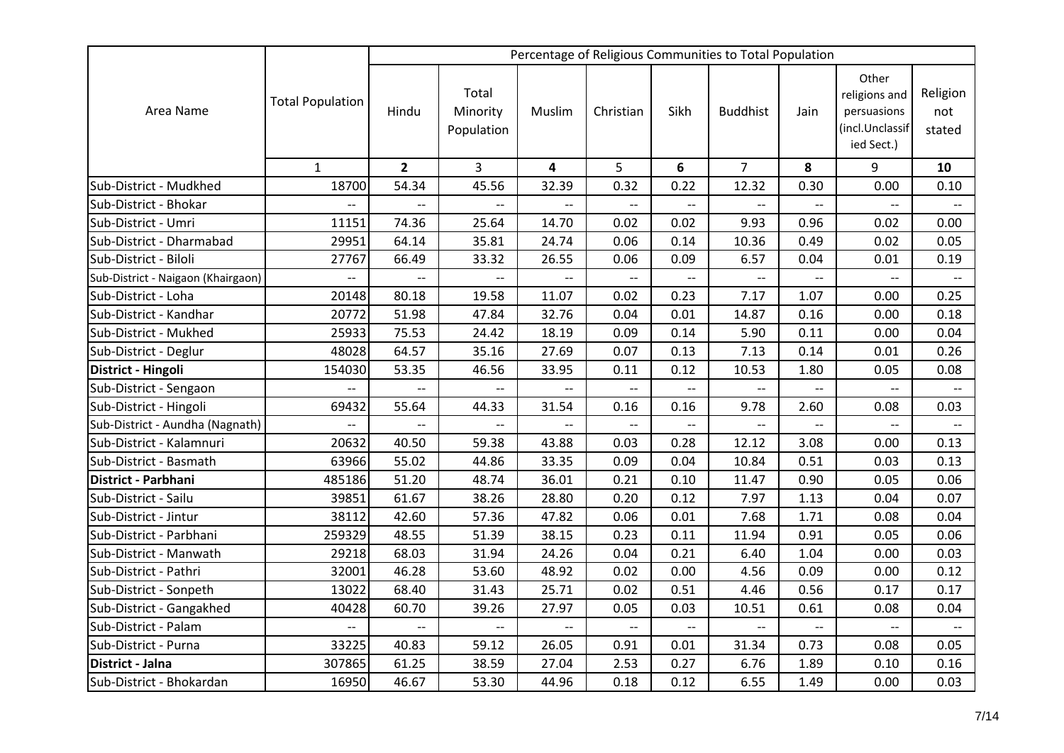|                                    |                          |                          |                                 |                          |                          |                          | Percentage of Religious Communities to Total Population |                          |                                                                        |                           |
|------------------------------------|--------------------------|--------------------------|---------------------------------|--------------------------|--------------------------|--------------------------|---------------------------------------------------------|--------------------------|------------------------------------------------------------------------|---------------------------|
| Area Name                          | <b>Total Population</b>  | Hindu                    | Total<br>Minority<br>Population | Muslim                   | Christian                | Sikh                     | <b>Buddhist</b>                                         | Jain                     | Other<br>religions and<br>persuasions<br>(incl.Unclassif<br>ied Sect.) | Religion<br>not<br>stated |
|                                    | $\mathbf{1}$             | $\overline{2}$           | 3                               | 4                        | 5                        | 6                        | $\overline{7}$                                          | 8                        | 9                                                                      | 10                        |
| Sub-District - Mudkhed             | 18700                    | 54.34                    | 45.56                           | 32.39                    | 0.32                     | 0.22                     | 12.32                                                   | 0.30                     | 0.00                                                                   | 0.10                      |
| Sub-District - Bhokar              | $\overline{\phantom{a}}$ | $\overline{\phantom{a}}$ | $-$                             | $\overline{\phantom{a}}$ | $\overline{\phantom{a}}$ | --                       | $\overline{a}$                                          | $\overline{a}$           | $\overline{a}$                                                         | $\overline{\phantom{m}}$  |
| Sub-District - Umri                | 11151                    | 74.36                    | 25.64                           | 14.70                    | 0.02                     | 0.02                     | 9.93                                                    | 0.96                     | 0.02                                                                   | 0.00                      |
| Sub-District - Dharmabad           | 29951                    | 64.14                    | 35.81                           | 24.74                    | 0.06                     | 0.14                     | 10.36                                                   | 0.49                     | 0.02                                                                   | 0.05                      |
| Sub-District - Biloli              | 27767                    | 66.49                    | 33.32                           | 26.55                    | 0.06                     | 0.09                     | 6.57                                                    | 0.04                     | 0.01                                                                   | 0.19                      |
| Sub-District - Naigaon (Khairgaon) | $\overline{a}$           | $-$                      | $\overline{a}$                  |                          |                          | $-$                      |                                                         |                          | $\overline{a}$                                                         |                           |
| Sub-District - Loha                | 20148                    | 80.18                    | 19.58                           | 11.07                    | 0.02                     | 0.23                     | 7.17                                                    | 1.07                     | 0.00                                                                   | 0.25                      |
| Sub-District - Kandhar             | 20772                    | 51.98                    | 47.84                           | 32.76                    | 0.04                     | 0.01                     | 14.87                                                   | 0.16                     | 0.00                                                                   | 0.18                      |
| Sub-District - Mukhed              | 25933                    | 75.53                    | 24.42                           | 18.19                    | 0.09                     | 0.14                     | 5.90                                                    | 0.11                     | 0.00                                                                   | 0.04                      |
| Sub-District - Deglur              | 48028                    | 64.57                    | 35.16                           | 27.69                    | 0.07                     | 0.13                     | 7.13                                                    | 0.14                     | 0.01                                                                   | 0.26                      |
| District - Hingoli                 | 154030                   | 53.35                    | 46.56                           | 33.95                    | 0.11                     | 0.12                     | 10.53                                                   | 1.80                     | 0.05                                                                   | 0.08                      |
| Sub-District - Sengaon             |                          |                          |                                 |                          |                          | $\overline{\phantom{a}}$ |                                                         |                          |                                                                        |                           |
| Sub-District - Hingoli             | 69432                    | 55.64                    | 44.33                           | 31.54                    | 0.16                     | 0.16                     | 9.78                                                    | 2.60                     | 0.08                                                                   | 0.03                      |
| Sub-District - Aundha (Nagnath)    | $\overline{\phantom{a}}$ | $-$                      | $\overline{\phantom{a}}$        | $\overline{a}$           | $-$                      | $-$                      | $\overline{\phantom{a}}$                                | $-$                      | $\overline{\phantom{a}}$                                               | $\overline{\phantom{a}}$  |
| Sub-District - Kalamnuri           | 20632                    | 40.50                    | 59.38                           | 43.88                    | 0.03                     | 0.28                     | 12.12                                                   | 3.08                     | 0.00                                                                   | 0.13                      |
| Sub-District - Basmath             | 63966                    | 55.02                    | 44.86                           | 33.35                    | 0.09                     | 0.04                     | 10.84                                                   | 0.51                     | 0.03                                                                   | 0.13                      |
| District - Parbhani                | 485186                   | 51.20                    | 48.74                           | 36.01                    | 0.21                     | 0.10                     | 11.47                                                   | 0.90                     | 0.05                                                                   | 0.06                      |
| Sub-District - Sailu               | 39851                    | 61.67                    | 38.26                           | 28.80                    | 0.20                     | 0.12                     | 7.97                                                    | 1.13                     | 0.04                                                                   | 0.07                      |
| Sub-District - Jintur              | 38112                    | 42.60                    | 57.36                           | 47.82                    | 0.06                     | 0.01                     | 7.68                                                    | 1.71                     | 0.08                                                                   | 0.04                      |
| Sub-District - Parbhani            | 259329                   | 48.55                    | 51.39                           | 38.15                    | 0.23                     | 0.11                     | 11.94                                                   | 0.91                     | 0.05                                                                   | 0.06                      |
| Sub-District - Manwath             | 29218                    | 68.03                    | 31.94                           | 24.26                    | 0.04                     | 0.21                     | 6.40                                                    | 1.04                     | 0.00                                                                   | 0.03                      |
| Sub-District - Pathri              | 32001                    | 46.28                    | 53.60                           | 48.92                    | 0.02                     | 0.00                     | 4.56                                                    | 0.09                     | 0.00                                                                   | 0.12                      |
| Sub-District - Sonpeth             | 13022                    | 68.40                    | 31.43                           | 25.71                    | 0.02                     | 0.51                     | 4.46                                                    | 0.56                     | 0.17                                                                   | 0.17                      |
| Sub-District - Gangakhed           | 40428                    | 60.70                    | 39.26                           | 27.97                    | 0.05                     | 0.03                     | 10.51                                                   | 0.61                     | 0.08                                                                   | 0.04                      |
| Sub-District - Palam               | --                       | $\overline{\phantom{a}}$ | $\overline{\phantom{m}}$        | $\overline{\phantom{m}}$ | $\overline{\phantom{m}}$ | $\overline{\phantom{a}}$ | $\overline{\phantom{m}}$                                | $\overline{\phantom{a}}$ | $\overline{a}$                                                         | $\overline{\phantom{a}}$  |
| Sub-District - Purna               | 33225                    | 40.83                    | 59.12                           | 26.05                    | 0.91                     | 0.01                     | 31.34                                                   | 0.73                     | 0.08                                                                   | 0.05                      |
| District - Jalna                   | 307865                   | 61.25                    | 38.59                           | 27.04                    | 2.53                     | 0.27                     | 6.76                                                    | 1.89                     | 0.10                                                                   | 0.16                      |
| Sub-District - Bhokardan           | 16950                    | 46.67                    | 53.30                           | 44.96                    | 0.18                     | 0.12                     | 6.55                                                    | 1.49                     | 0.00                                                                   | 0.03                      |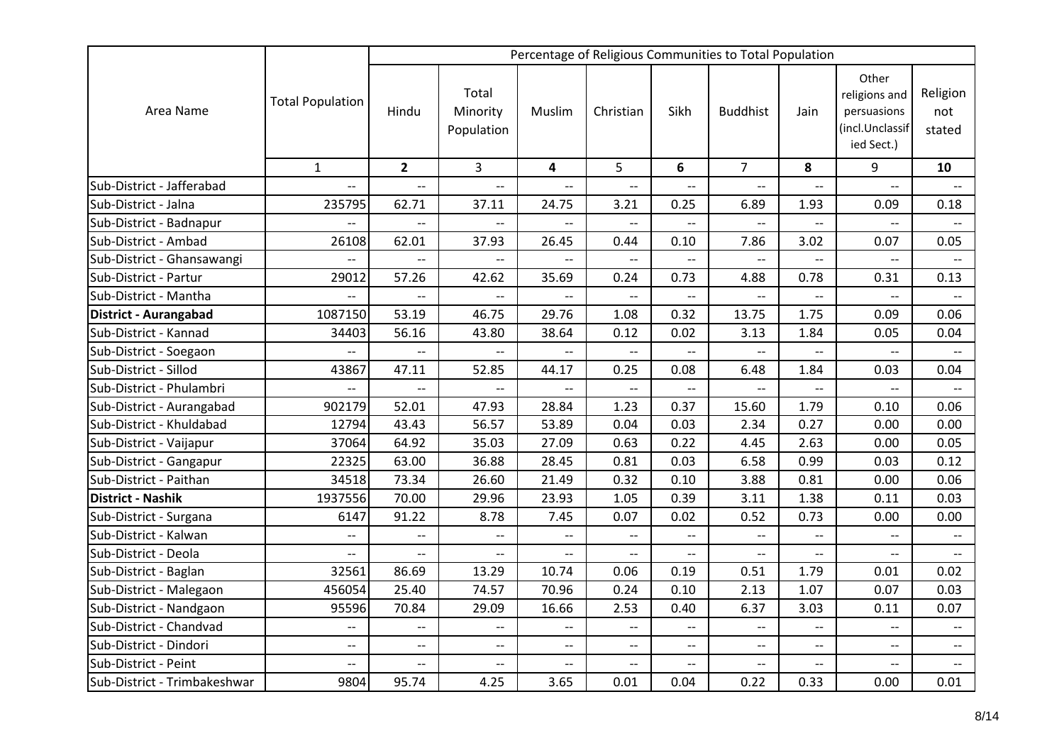|                              |                          |                          |                                 |                          |                          |                          | Percentage of Religious Communities to Total Population |                          |                                                                        |                                                     |
|------------------------------|--------------------------|--------------------------|---------------------------------|--------------------------|--------------------------|--------------------------|---------------------------------------------------------|--------------------------|------------------------------------------------------------------------|-----------------------------------------------------|
| Area Name                    | <b>Total Population</b>  | Hindu                    | Total<br>Minority<br>Population | Muslim                   | Christian                | Sikh                     | <b>Buddhist</b>                                         | Jain                     | Other<br>religions and<br>persuasions<br>(incl.Unclassif<br>ied Sect.) | Religion<br>not<br>stated                           |
|                              | $\mathbf{1}$             | $\overline{2}$           | $\overline{3}$                  | 4                        | 5                        | 6                        | $\overline{7}$                                          | 8                        | 9                                                                      | 10                                                  |
| Sub-District - Jafferabad    | $\overline{a}$           | $\overline{\phantom{0}}$ | $\overline{\phantom{a}}$        | $\overline{\phantom{0}}$ | $\overline{\phantom{0}}$ | $\overline{\phantom{0}}$ | $\overline{\phantom{0}}$                                | $\overline{\phantom{a}}$ | $\overline{\phantom{a}}$                                               | $\overline{\phantom{a}}$                            |
| Sub-District - Jalna         | 235795                   | 62.71                    | 37.11                           | 24.75                    | 3.21                     | 0.25                     | 6.89                                                    | 1.93                     | 0.09                                                                   | 0.18                                                |
| Sub-District - Badnapur      | --                       | $-$                      |                                 |                          | --                       | --                       |                                                         | $-$                      | $\overline{a}$                                                         |                                                     |
| Sub-District - Ambad         | 26108                    | 62.01                    | 37.93                           | 26.45                    | 0.44                     | 0.10                     | 7.86                                                    | 3.02                     | 0.07                                                                   | 0.05                                                |
| Sub-District - Ghansawangi   | $\overline{a}$           | $-$                      | $\overline{a}$                  |                          | $-$                      | --                       | $\overline{\phantom{a}}$                                |                          | $\overline{a}$                                                         |                                                     |
| Sub-District - Partur        | 29012                    | 57.26                    | 42.62                           | 35.69                    | 0.24                     | 0.73                     | 4.88                                                    | 0.78                     | 0.31                                                                   | 0.13                                                |
| Sub-District - Mantha        | --                       | $-$                      | $-$                             | $-$                      | $-$                      | $-$                      | $\overline{\phantom{a}}$                                |                          | $-$                                                                    |                                                     |
| District - Aurangabad        | 1087150                  | 53.19                    | 46.75                           | 29.76                    | 1.08                     | 0.32                     | 13.75                                                   | 1.75                     | 0.09                                                                   | 0.06                                                |
| Sub-District - Kannad        | 34403                    | 56.16                    | 43.80                           | 38.64                    | 0.12                     | 0.02                     | 3.13                                                    | 1.84                     | 0.05                                                                   | 0.04                                                |
| Sub-District - Soegaon       | $-$                      | $\overline{\phantom{a}}$ | $\overline{\phantom{m}}$        | $-$                      | $- -$                    | $\overline{\phantom{a}}$ | $-$                                                     | $\overline{\phantom{a}}$ | $\overline{a}$                                                         | $\overline{\phantom{a}}$                            |
| Sub-District - Sillod        | 43867                    | 47.11                    | 52.85                           | 44.17                    | 0.25                     | 0.08                     | 6.48                                                    | 1.84                     | 0.03                                                                   | 0.04                                                |
| Sub-District - Phulambri     | $\overline{\phantom{a}}$ | $-$                      | $\overline{\phantom{m}}$        |                          | $-$                      | $--$                     | $-$                                                     | $- -$                    | $\overline{\phantom{a}}$                                               |                                                     |
| Sub-District - Aurangabad    | 902179                   | 52.01                    | 47.93                           | 28.84                    | 1.23                     | 0.37                     | 15.60                                                   | 1.79                     | 0.10                                                                   | 0.06                                                |
| Sub-District - Khuldabad     | 12794                    | 43.43                    | 56.57                           | 53.89                    | 0.04                     | 0.03                     | 2.34                                                    | 0.27                     | 0.00                                                                   | 0.00                                                |
| Sub-District - Vaijapur      | 37064                    | 64.92                    | 35.03                           | 27.09                    | 0.63                     | 0.22                     | 4.45                                                    | 2.63                     | 0.00                                                                   | 0.05                                                |
| Sub-District - Gangapur      | 22325                    | 63.00                    | 36.88                           | 28.45                    | 0.81                     | 0.03                     | 6.58                                                    | 0.99                     | 0.03                                                                   | 0.12                                                |
| Sub-District - Paithan       | 34518                    | 73.34                    | 26.60                           | 21.49                    | 0.32                     | 0.10                     | 3.88                                                    | 0.81                     | 0.00                                                                   | 0.06                                                |
| <b>District - Nashik</b>     | 1937556                  | 70.00                    | 29.96                           | 23.93                    | 1.05                     | 0.39                     | 3.11                                                    | 1.38                     | 0.11                                                                   | 0.03                                                |
| Sub-District - Surgana       | 6147                     | 91.22                    | 8.78                            | 7.45                     | 0.07                     | 0.02                     | 0.52                                                    | 0.73                     | 0.00                                                                   | 0.00                                                |
| Sub-District - Kalwan        | $\overline{\phantom{a}}$ | $\overline{a}$           | $\overline{\phantom{a}}$        | $\overline{\phantom{a}}$ | $\overline{a}$           | $-$                      |                                                         |                          | $\overline{a}$                                                         |                                                     |
| Sub-District - Deola         | $\overline{\phantom{a}}$ | $\overline{\phantom{a}}$ | $\overline{\phantom{a}}$        | $\overline{\phantom{a}}$ | $- -$                    | $\overline{\phantom{a}}$ | $\overline{\phantom{a}}$                                | $\overline{\phantom{a}}$ | $\overline{\phantom{0}}$                                               | $\overline{\phantom{a}}$                            |
| Sub-District - Baglan        | 32561                    | 86.69                    | 13.29                           | 10.74                    | 0.06                     | 0.19                     | 0.51                                                    | 1.79                     | 0.01                                                                   | 0.02                                                |
| Sub-District - Malegaon      | 456054                   | 25.40                    | 74.57                           | 70.96                    | 0.24                     | 0.10                     | 2.13                                                    | 1.07                     | 0.07                                                                   | 0.03                                                |
| Sub-District - Nandgaon      | 95596                    | 70.84                    | 29.09                           | 16.66                    | 2.53                     | 0.40                     | 6.37                                                    | 3.03                     | 0.11                                                                   | 0.07                                                |
| Sub-District - Chandvad      | $\overline{\phantom{a}}$ | $\overline{\phantom{a}}$ | $\overline{\phantom{m}}$        | $\overline{\phantom{a}}$ | $\overline{\phantom{a}}$ | $\overline{\phantom{a}}$ | $\overline{\phantom{m}}$                                | $\overline{\phantom{a}}$ | $\overline{\phantom{a}}$                                               | $\hspace{0.05cm} -\hspace{0.05cm} -\hspace{0.05cm}$ |
| Sub-District - Dindori       | $\overline{\phantom{a}}$ | $-$                      | $\overline{\phantom{a}}$        | $\overline{\phantom{a}}$ | $\overline{\phantom{a}}$ | $- -$                    | $\overline{\phantom{m}}$                                | $-$                      | $\overline{\phantom{a}}$                                               | $\overline{\phantom{a}}$                            |
| Sub-District - Peint         | $\overline{\phantom{a}}$ | $\overline{\phantom{a}}$ | $\overline{\phantom{m}}$        | $\overline{\phantom{a}}$ | $- -$                    | $-$                      | $\overline{\phantom{m}}$                                | $\overline{\phantom{a}}$ | $\overline{\phantom{a}}$                                               | $\overline{\phantom{a}}$                            |
| Sub-District - Trimbakeshwar | 9804                     | 95.74                    | 4.25                            | 3.65                     | 0.01                     | 0.04                     | 0.22                                                    | 0.33                     | 0.00                                                                   | 0.01                                                |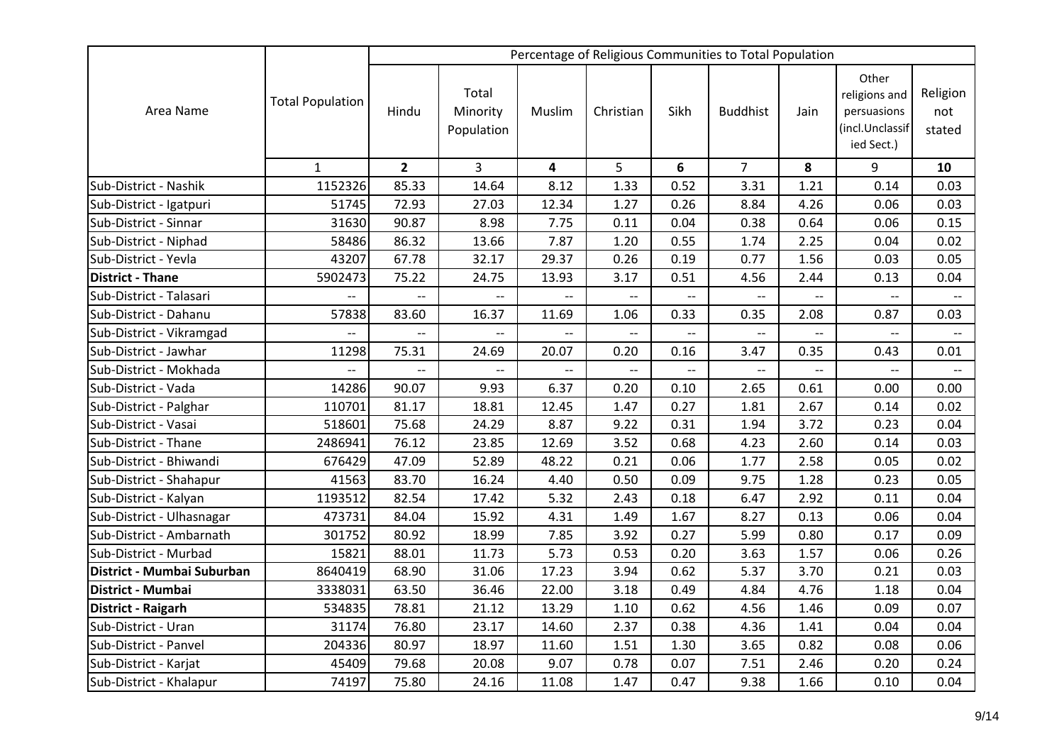|                            |                         |                          |                                 |                          |                          |                          | Percentage of Religious Communities to Total Population |                          |                                                                        |                           |
|----------------------------|-------------------------|--------------------------|---------------------------------|--------------------------|--------------------------|--------------------------|---------------------------------------------------------|--------------------------|------------------------------------------------------------------------|---------------------------|
| Area Name                  | <b>Total Population</b> | Hindu                    | Total<br>Minority<br>Population | Muslim                   | Christian                | Sikh                     | <b>Buddhist</b>                                         | Jain                     | Other<br>religions and<br>persuasions<br>(incl.Unclassif<br>ied Sect.) | Religion<br>not<br>stated |
|                            | $\mathbf{1}$            | $\overline{2}$           | $\overline{3}$                  | 4                        | 5                        | 6                        | $\overline{7}$                                          | 8                        | 9                                                                      | 10                        |
| Sub-District - Nashik      | 1152326                 | 85.33                    | 14.64                           | 8.12                     | 1.33                     | 0.52                     | 3.31                                                    | 1.21                     | 0.14                                                                   | 0.03                      |
| Sub-District - Igatpuri    | 51745                   | 72.93                    | 27.03                           | 12.34                    | 1.27                     | 0.26                     | 8.84                                                    | 4.26                     | 0.06                                                                   | 0.03                      |
| Sub-District - Sinnar      | 31630                   | 90.87                    | 8.98                            | 7.75                     | 0.11                     | 0.04                     | 0.38                                                    | 0.64                     | 0.06                                                                   | 0.15                      |
| Sub-District - Niphad      | 58486                   | 86.32                    | 13.66                           | 7.87                     | 1.20                     | 0.55                     | 1.74                                                    | 2.25                     | 0.04                                                                   | 0.02                      |
| Sub-District - Yevla       | 43207                   | 67.78                    | 32.17                           | 29.37                    | 0.26                     | 0.19                     | 0.77                                                    | 1.56                     | 0.03                                                                   | 0.05                      |
| <b>District - Thane</b>    | 5902473                 | 75.22                    | 24.75                           | 13.93                    | 3.17                     | 0.51                     | 4.56                                                    | 2.44                     | 0.13                                                                   | 0.04                      |
| Sub-District - Talasari    | н.                      | $-$                      | $-$                             | --                       | $-$                      | $\overline{\phantom{a}}$ | $-$                                                     |                          | $-$                                                                    |                           |
| Sub-District - Dahanu      | 57838                   | 83.60                    | 16.37                           | 11.69                    | 1.06                     | 0.33                     | 0.35                                                    | 2.08                     | 0.87                                                                   | 0.03                      |
| Sub-District - Vikramgad   | --                      | $\overline{\phantom{0}}$ | $\overline{\phantom{0}}$        | $\overline{\phantom{a}}$ | $\overline{\phantom{a}}$ | $\overline{a}$           | $\overline{\phantom{a}}$                                | $\overline{\phantom{a}}$ | $\overline{a}$                                                         |                           |
| Sub-District - Jawhar      | 11298                   | 75.31                    | 24.69                           | 20.07                    | 0.20                     | 0.16                     | 3.47                                                    | 0.35                     | 0.43                                                                   | 0.01                      |
| Sub-District - Mokhada     |                         |                          |                                 |                          | $\overline{a}$           | $\overline{a}$           |                                                         |                          | $\overline{a}$                                                         |                           |
| Sub-District - Vada        | 14286                   | 90.07                    | 9.93                            | 6.37                     | 0.20                     | 0.10                     | 2.65                                                    | 0.61                     | 0.00                                                                   | 0.00                      |
| Sub-District - Palghar     | 110701                  | 81.17                    | 18.81                           | 12.45                    | 1.47                     | 0.27                     | 1.81                                                    | 2.67                     | 0.14                                                                   | 0.02                      |
| Sub-District - Vasai       | 518601                  | 75.68                    | 24.29                           | 8.87                     | 9.22                     | 0.31                     | 1.94                                                    | 3.72                     | 0.23                                                                   | 0.04                      |
| Sub-District - Thane       | 2486941                 | 76.12                    | 23.85                           | 12.69                    | 3.52                     | 0.68                     | 4.23                                                    | 2.60                     | 0.14                                                                   | 0.03                      |
| Sub-District - Bhiwandi    | 676429                  | 47.09                    | 52.89                           | 48.22                    | 0.21                     | 0.06                     | 1.77                                                    | 2.58                     | 0.05                                                                   | 0.02                      |
| Sub-District - Shahapur    | 41563                   | 83.70                    | 16.24                           | 4.40                     | 0.50                     | 0.09                     | 9.75                                                    | 1.28                     | 0.23                                                                   | 0.05                      |
| Sub-District - Kalyan      | 1193512                 | 82.54                    | 17.42                           | 5.32                     | 2.43                     | 0.18                     | 6.47                                                    | 2.92                     | 0.11                                                                   | 0.04                      |
| Sub-District - Ulhasnagar  | 473731                  | 84.04                    | 15.92                           | 4.31                     | 1.49                     | 1.67                     | 8.27                                                    | 0.13                     | 0.06                                                                   | 0.04                      |
| Sub-District - Ambarnath   | 301752                  | 80.92                    | 18.99                           | 7.85                     | 3.92                     | 0.27                     | 5.99                                                    | 0.80                     | 0.17                                                                   | 0.09                      |
| Sub-District - Murbad      | 15821                   | 88.01                    | 11.73                           | 5.73                     | 0.53                     | 0.20                     | 3.63                                                    | 1.57                     | 0.06                                                                   | 0.26                      |
| District - Mumbai Suburban | 8640419                 | 68.90                    | 31.06                           | 17.23                    | 3.94                     | 0.62                     | 5.37                                                    | 3.70                     | 0.21                                                                   | 0.03                      |
| District - Mumbai          | 3338031                 | 63.50                    | 36.46                           | 22.00                    | 3.18                     | 0.49                     | 4.84                                                    | 4.76                     | 1.18                                                                   | 0.04                      |
| District - Raigarh         | 534835                  | 78.81                    | 21.12                           | 13.29                    | 1.10                     | 0.62                     | 4.56                                                    | 1.46                     | 0.09                                                                   | 0.07                      |
| Sub-District - Uran        | 31174                   | 76.80                    | 23.17                           | 14.60                    | 2.37                     | 0.38                     | 4.36                                                    | 1.41                     | 0.04                                                                   | 0.04                      |
| Sub-District - Panvel      | 204336                  | 80.97                    | 18.97                           | 11.60                    | 1.51                     | 1.30                     | 3.65                                                    | 0.82                     | 0.08                                                                   | 0.06                      |
| Sub-District - Karjat      | 45409                   | 79.68                    | 20.08                           | 9.07                     | 0.78                     | 0.07                     | 7.51                                                    | 2.46                     | 0.20                                                                   | 0.24                      |
| Sub-District - Khalapur    | 74197                   | 75.80                    | 24.16                           | 11.08                    | 1.47                     | 0.47                     | 9.38                                                    | 1.66                     | 0.10                                                                   | 0.04                      |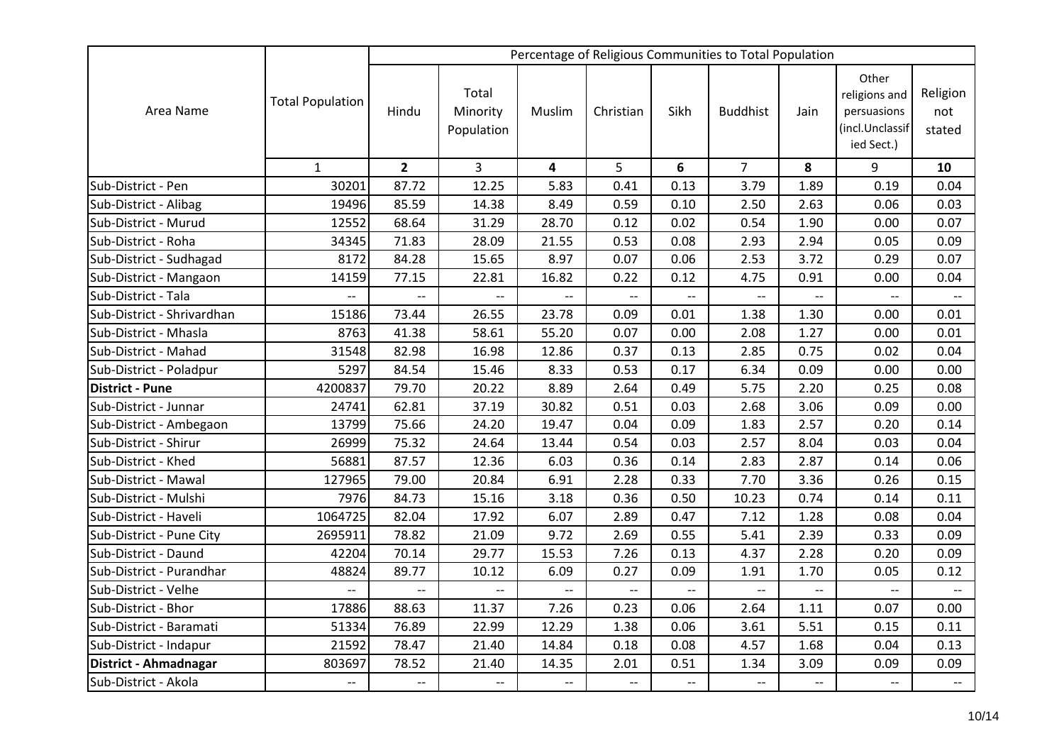|                            |                          |                          |                                 |                          |                          |                | Percentage of Religious Communities to Total Population |                          |                                                                        |                           |
|----------------------------|--------------------------|--------------------------|---------------------------------|--------------------------|--------------------------|----------------|---------------------------------------------------------|--------------------------|------------------------------------------------------------------------|---------------------------|
| Area Name                  | <b>Total Population</b>  | Hindu                    | Total<br>Minority<br>Population | Muslim                   | Christian                | Sikh           | <b>Buddhist</b>                                         | Jain                     | Other<br>religions and<br>persuasions<br>(incl.Unclassif<br>ied Sect.) | Religion<br>not<br>stated |
|                            | $\mathbf{1}$             | $\overline{2}$           | $\overline{3}$                  | 4                        | 5                        | 6              | $\overline{7}$                                          | 8                        | 9                                                                      | 10                        |
| Sub-District - Pen         | 30201                    | 87.72                    | 12.25                           | 5.83                     | 0.41                     | 0.13           | 3.79                                                    | 1.89                     | 0.19                                                                   | 0.04                      |
| Sub-District - Alibag      | 19496                    | 85.59                    | 14.38                           | 8.49                     | 0.59                     | 0.10           | 2.50                                                    | 2.63                     | 0.06                                                                   | 0.03                      |
| Sub-District - Murud       | 12552                    | 68.64                    | 31.29                           | 28.70                    | 0.12                     | 0.02           | 0.54                                                    | 1.90                     | 0.00                                                                   | 0.07                      |
| Sub-District - Roha        | 34345                    | 71.83                    | 28.09                           | 21.55                    | 0.53                     | 0.08           | 2.93                                                    | 2.94                     | 0.05                                                                   | 0.09                      |
| Sub-District - Sudhagad    | 8172                     | 84.28                    | 15.65                           | 8.97                     | 0.07                     | 0.06           | 2.53                                                    | 3.72                     | 0.29                                                                   | 0.07                      |
| Sub-District - Mangaon     | 14159                    | 77.15                    | 22.81                           | 16.82                    | 0.22                     | 0.12           | 4.75                                                    | 0.91                     | 0.00                                                                   | 0.04                      |
| Sub-District - Tala        |                          | $-$                      | $\overline{\phantom{0}}$        | $-$                      | $\overline{\phantom{0}}$ | $\overline{a}$ | $\overline{\phantom{a}}$                                |                          | $\mathbb{H}^{\mathbb{Z}}$                                              | $\overline{a}$            |
| Sub-District - Shrivardhan | 15186                    | 73.44                    | 26.55                           | 23.78                    | 0.09                     | 0.01           | 1.38                                                    | 1.30                     | 0.00                                                                   | 0.01                      |
| Sub-District - Mhasla      | 8763                     | 41.38                    | 58.61                           | 55.20                    | 0.07                     | 0.00           | 2.08                                                    | 1.27                     | 0.00                                                                   | 0.01                      |
| Sub-District - Mahad       | 31548                    | 82.98                    | 16.98                           | 12.86                    | 0.37                     | 0.13           | 2.85                                                    | 0.75                     | 0.02                                                                   | 0.04                      |
| Sub-District - Poladpur    | 5297                     | 84.54                    | 15.46                           | 8.33                     | 0.53                     | 0.17           | 6.34                                                    | 0.09                     | 0.00                                                                   | 0.00                      |
| <b>District - Pune</b>     | 4200837                  | 79.70                    | 20.22                           | 8.89                     | 2.64                     | 0.49           | 5.75                                                    | 2.20                     | 0.25                                                                   | 0.08                      |
| Sub-District - Junnar      | 24741                    | 62.81                    | 37.19                           | 30.82                    | 0.51                     | 0.03           | 2.68                                                    | 3.06                     | 0.09                                                                   | 0.00                      |
| Sub-District - Ambegaon    | 13799                    | 75.66                    | 24.20                           | 19.47                    | 0.04                     | 0.09           | 1.83                                                    | 2.57                     | 0.20                                                                   | 0.14                      |
| Sub-District - Shirur      | 26999                    | 75.32                    | 24.64                           | 13.44                    | 0.54                     | 0.03           | 2.57                                                    | 8.04                     | 0.03                                                                   | 0.04                      |
| Sub-District - Khed        | 56881                    | 87.57                    | 12.36                           | 6.03                     | 0.36                     | 0.14           | 2.83                                                    | 2.87                     | 0.14                                                                   | 0.06                      |
| Sub-District - Mawal       | 127965                   | 79.00                    | 20.84                           | 6.91                     | 2.28                     | 0.33           | 7.70                                                    | 3.36                     | 0.26                                                                   | 0.15                      |
| Sub-District - Mulshi      | 7976                     | 84.73                    | 15.16                           | 3.18                     | 0.36                     | 0.50           | 10.23                                                   | 0.74                     | 0.14                                                                   | 0.11                      |
| Sub-District - Haveli      | 1064725                  | 82.04                    | 17.92                           | 6.07                     | 2.89                     | 0.47           | 7.12                                                    | 1.28                     | 0.08                                                                   | 0.04                      |
| Sub-District - Pune City   | 2695911                  | 78.82                    | 21.09                           | 9.72                     | 2.69                     | 0.55           | 5.41                                                    | 2.39                     | 0.33                                                                   | 0.09                      |
| Sub-District - Daund       | 42204                    | 70.14                    | 29.77                           | 15.53                    | 7.26                     | 0.13           | 4.37                                                    | 2.28                     | 0.20                                                                   | 0.09                      |
| Sub-District - Purandhar   | 48824                    | 89.77                    | 10.12                           | 6.09                     | 0.27                     | 0.09           | 1.91                                                    | 1.70                     | 0.05                                                                   | 0.12                      |
| Sub-District - Velhe       | $\overline{\phantom{a}}$ | $\overline{\phantom{a}}$ | $\overline{\phantom{0}}$        | $\overline{\phantom{a}}$ | $\overline{a}$           | $\overline{a}$ | $\overline{a}$                                          |                          | $- -$                                                                  | $\overline{\phantom{a}}$  |
| Sub-District - Bhor        | 17886                    | 88.63                    | 11.37                           | 7.26                     | 0.23                     | 0.06           | 2.64                                                    | 1.11                     | 0.07                                                                   | 0.00                      |
| Sub-District - Baramati    | 51334                    | 76.89                    | 22.99                           | 12.29                    | 1.38                     | 0.06           | 3.61                                                    | 5.51                     | 0.15                                                                   | 0.11                      |
| Sub-District - Indapur     | 21592                    | 78.47                    | 21.40                           | 14.84                    | 0.18                     | 0.08           | 4.57                                                    | 1.68                     | 0.04                                                                   | 0.13                      |
| District - Ahmadnagar      | 803697                   | 78.52                    | 21.40                           | 14.35                    | 2.01                     | 0.51           | 1.34                                                    | 3.09                     | 0.09                                                                   | 0.09                      |
| Sub-District - Akola       | $\overline{\phantom{a}}$ | $\overline{\phantom{a}}$ | $-$                             | $\overline{\phantom{a}}$ | $\overline{\phantom{a}}$ | $-$            | $\overline{\phantom{a}}$                                | $\overline{\phantom{a}}$ | $-$                                                                    | $\overline{\phantom{a}}$  |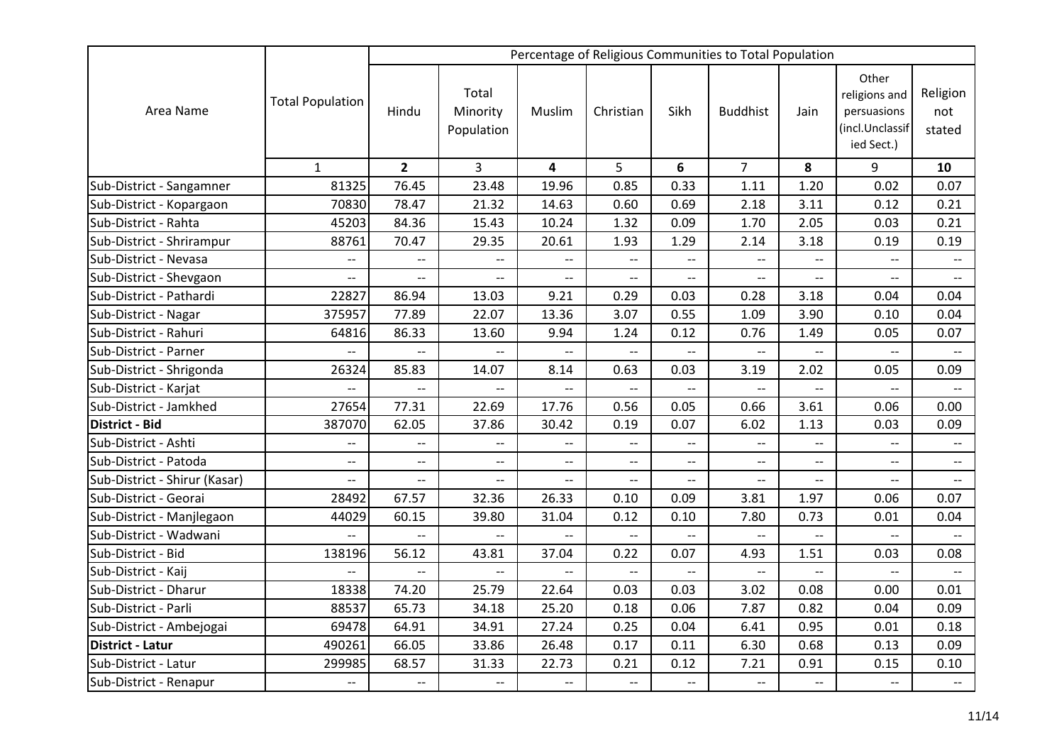|                               |                          |                          |                                 |                                                     |                          |                          | Percentage of Religious Communities to Total Population |                          |                                                                        |                           |
|-------------------------------|--------------------------|--------------------------|---------------------------------|-----------------------------------------------------|--------------------------|--------------------------|---------------------------------------------------------|--------------------------|------------------------------------------------------------------------|---------------------------|
| Area Name                     | <b>Total Population</b>  | Hindu                    | Total<br>Minority<br>Population | Muslim                                              | Christian                | Sikh                     | <b>Buddhist</b>                                         | Jain                     | Other<br>religions and<br>persuasions<br>(incl.Unclassif<br>ied Sect.) | Religion<br>not<br>stated |
|                               | $\mathbf{1}$             | $\overline{2}$           | $\overline{3}$                  | 4                                                   | 5                        | 6                        | $\overline{7}$                                          | 8                        | 9                                                                      | 10                        |
| Sub-District - Sangamner      | 81325                    | 76.45                    | 23.48                           | 19.96                                               | 0.85                     | 0.33                     | 1.11                                                    | 1.20                     | 0.02                                                                   | 0.07                      |
| Sub-District - Kopargaon      | 70830                    | 78.47                    | 21.32                           | 14.63                                               | 0.60                     | 0.69                     | 2.18                                                    | 3.11                     | 0.12                                                                   | 0.21                      |
| Sub-District - Rahta          | 45203                    | 84.36                    | 15.43                           | 10.24                                               | 1.32                     | 0.09                     | 1.70                                                    | 2.05                     | 0.03                                                                   | 0.21                      |
| Sub-District - Shrirampur     | 88761                    | 70.47                    | 29.35                           | 20.61                                               | 1.93                     | 1.29                     | 2.14                                                    | 3.18                     | 0.19                                                                   | 0.19                      |
| Sub-District - Nevasa         | $\overline{\phantom{a}}$ | $\overline{a}$           | $\overline{\phantom{a}}$        | $\overline{\phantom{m}}$                            | $- -$                    | $-$                      | $\overline{\phantom{a}}$                                |                          | $-$                                                                    |                           |
| Sub-District - Shevgaon       | $\overline{a}$           | $\overline{a}$           | $\overline{\phantom{0}}$        | $\overline{a}$                                      | $\overline{a}$           | $\overline{a}$           | $\overline{\phantom{a}}$                                | $\overline{\phantom{0}}$ | $\overline{a}$                                                         | $\overline{a}$            |
| Sub-District - Pathardi       | 22827                    | 86.94                    | 13.03                           | 9.21                                                | 0.29                     | 0.03                     | 0.28                                                    | 3.18                     | 0.04                                                                   | 0.04                      |
| Sub-District - Nagar          | 375957                   | 77.89                    | 22.07                           | 13.36                                               | 3.07                     | 0.55                     | 1.09                                                    | 3.90                     | 0.10                                                                   | 0.04                      |
| Sub-District - Rahuri         | 64816                    | 86.33                    | 13.60                           | 9.94                                                | 1.24                     | 0.12                     | 0.76                                                    | 1.49                     | 0.05                                                                   | 0.07                      |
| Sub-District - Parner         | $\overline{\phantom{a}}$ | $\overline{a}$           | $\overline{\phantom{a}}$        | --                                                  | $-$                      | --                       | $\overline{\phantom{a}}$                                | --                       |                                                                        |                           |
| Sub-District - Shrigonda      | 26324                    | 85.83                    | 14.07                           | 8.14                                                | 0.63                     | 0.03                     | 3.19                                                    | 2.02                     | 0.05                                                                   | 0.09                      |
| Sub-District - Karjat         | $\overline{\phantom{a}}$ | $-$                      |                                 |                                                     |                          |                          |                                                         |                          |                                                                        |                           |
| Sub-District - Jamkhed        | 27654                    | 77.31                    | 22.69                           | 17.76                                               | 0.56                     | 0.05                     | 0.66                                                    | 3.61                     | 0.06                                                                   | 0.00                      |
| <b>District - Bid</b>         | 387070                   | 62.05                    | 37.86                           | 30.42                                               | 0.19                     | 0.07                     | 6.02                                                    | 1.13                     | 0.03                                                                   | 0.09                      |
| Sub-District - Ashti          | $\overline{\phantom{a}}$ | $\overline{\phantom{a}}$ | $\overline{\phantom{a}}$        | $\overline{\phantom{m}}$                            | $\overline{\phantom{a}}$ | $\overline{\phantom{a}}$ | $\overline{\phantom{a}}$                                | $- -$                    | $- -$                                                                  | $\overline{\phantom{m}}$  |
| Sub-District - Patoda         | $-$                      | $\overline{\phantom{a}}$ | $\overline{\phantom{a}}$        | $\overline{\phantom{a}}$                            | $\overline{\phantom{a}}$ | $-$                      | $\overline{\phantom{a}}$                                | $-$                      | $\overline{a}$                                                         | $\overline{\phantom{a}}$  |
| Sub-District - Shirur (Kasar) | $\overline{\phantom{a}}$ | $\overline{\phantom{a}}$ | $--$                            | $\hspace{0.05cm} -\hspace{0.05cm} -\hspace{0.05cm}$ | $\overline{\phantom{a}}$ | $\overline{\phantom{a}}$ | $-\!$                                                   | $\overline{\phantom{a}}$ | $\overline{\phantom{a}}$                                               | $- -$                     |
| Sub-District - Georai         | 28492                    | 67.57                    | 32.36                           | 26.33                                               | 0.10                     | 0.09                     | 3.81                                                    | 1.97                     | 0.06                                                                   | 0.07                      |
| Sub-District - Manjlegaon     | 44029                    | 60.15                    | 39.80                           | 31.04                                               | 0.12                     | 0.10                     | 7.80                                                    | 0.73                     | 0.01                                                                   | 0.04                      |
| Sub-District - Wadwani        | $\overline{a}$           | $\overline{a}$           | $\overline{a}$                  |                                                     | $\overline{a}$           | $\overline{a}$           | $\overline{\phantom{0}}$                                | $\overline{a}$           | $\overline{a}$                                                         |                           |
| Sub-District - Bid            | 138196                   | 56.12                    | 43.81                           | 37.04                                               | 0.22                     | 0.07                     | 4.93                                                    | 1.51                     | 0.03                                                                   | 0.08                      |
| Sub-District - Kaij           | $\overline{\phantom{a}}$ | $\overline{a}$           |                                 |                                                     |                          |                          |                                                         |                          | $\overline{a}$                                                         |                           |
| Sub-District - Dharur         | 18338                    | 74.20                    | 25.79                           | 22.64                                               | 0.03                     | 0.03                     | 3.02                                                    | 0.08                     | 0.00                                                                   | 0.01                      |
| Sub-District - Parli          | 88537                    | 65.73                    | 34.18                           | 25.20                                               | 0.18                     | 0.06                     | 7.87                                                    | 0.82                     | 0.04                                                                   | 0.09                      |
| Sub-District - Ambejogai      | 69478                    | 64.91                    | 34.91                           | 27.24                                               | 0.25                     | 0.04                     | 6.41                                                    | 0.95                     | 0.01                                                                   | 0.18                      |
| <b>District - Latur</b>       | 490261                   | 66.05                    | 33.86                           | 26.48                                               | 0.17                     | 0.11                     | 6.30                                                    | 0.68                     | 0.13                                                                   | 0.09                      |
| Sub-District - Latur          | 299985                   | 68.57                    | 31.33                           | 22.73                                               | 0.21                     | 0.12                     | 7.21                                                    | 0.91                     | 0.15                                                                   | 0.10                      |
| Sub-District - Renapur        | $\overline{\phantom{a}}$ | $\overline{\phantom{a}}$ | $\overline{\phantom{a}}$        | $\overline{\phantom{a}}$                            | $- -$                    | $-$                      | $\overline{\phantom{a}}$                                | $\overline{\phantom{a}}$ | $-$                                                                    | $\overline{\phantom{a}}$  |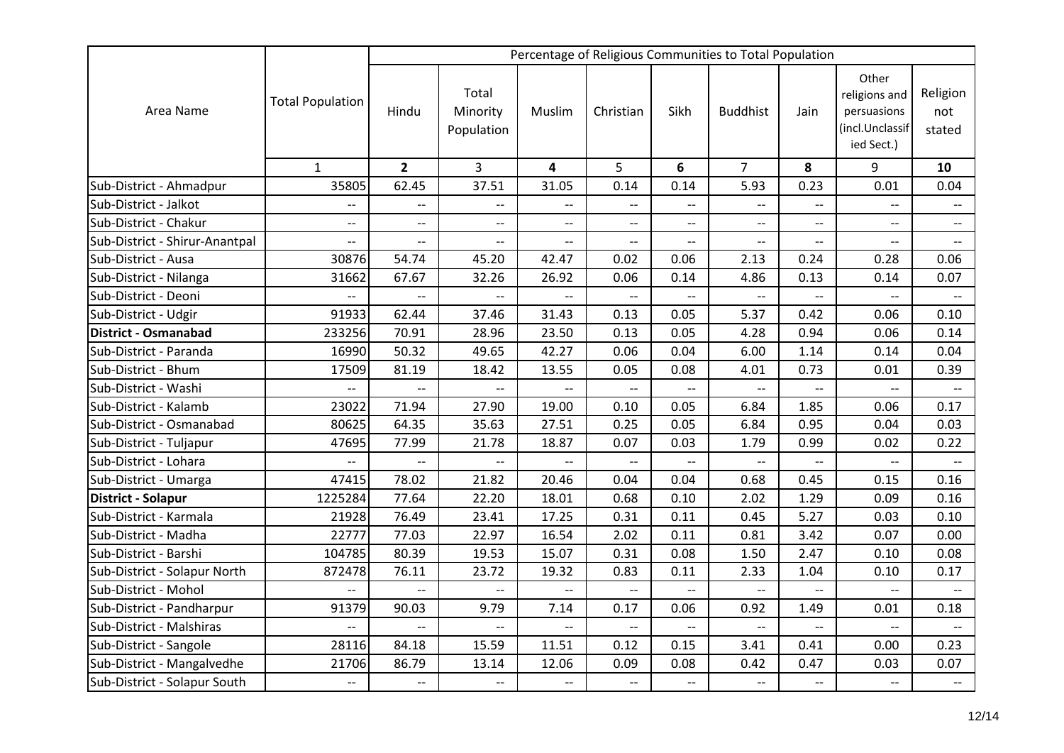|                                |                          |                          |                                 |                          |                          |                          | Percentage of Religious Communities to Total Population |                          |                                                                        |                           |
|--------------------------------|--------------------------|--------------------------|---------------------------------|--------------------------|--------------------------|--------------------------|---------------------------------------------------------|--------------------------|------------------------------------------------------------------------|---------------------------|
| Area Name                      | <b>Total Population</b>  | Hindu                    | Total<br>Minority<br>Population | Muslim                   | Christian                | Sikh                     | <b>Buddhist</b>                                         | Jain                     | Other<br>religions and<br>persuasions<br>(incl.Unclassif<br>ied Sect.) | Religion<br>not<br>stated |
|                                | $\mathbf{1}$             | $\overline{2}$           | $\overline{3}$                  | 4                        | 5                        | 6                        | $\overline{7}$                                          | 8                        | 9                                                                      | 10                        |
| Sub-District - Ahmadpur        | 35805                    | 62.45                    | 37.51                           | 31.05                    | 0.14                     | 0.14                     | 5.93                                                    | 0.23                     | 0.01                                                                   | 0.04                      |
| Sub-District - Jalkot          | $\overline{\phantom{a}}$ | $\overline{a}$           | $-$                             | $\overline{\phantom{a}}$ | $-$                      | --                       | $\overline{\phantom{a}}$                                | $\overline{\phantom{a}}$ | $\overline{a}$                                                         | $\overline{\phantom{a}}$  |
| Sub-District - Chakur          | $-$                      | $\overline{\phantom{a}}$ | $- -$                           | $\overline{\phantom{a}}$ | $\overline{\phantom{a}}$ | $-$                      |                                                         |                          | $-$                                                                    | $--$                      |
| Sub-District - Shirur-Anantpal | $\overline{\phantom{0}}$ | $\overline{\phantom{a}}$ | $\overline{\phantom{m}}$        | $\overline{\phantom{m}}$ | $\overline{\phantom{a}}$ | $-$                      | $\overline{\phantom{m}}$                                | $\overline{\phantom{a}}$ | $\overline{\phantom{a}}$                                               | $\overline{\phantom{a}}$  |
| Sub-District - Ausa            | 30876                    | 54.74                    | 45.20                           | 42.47                    | 0.02                     | 0.06                     | 2.13                                                    | 0.24                     | 0.28                                                                   | 0.06                      |
| Sub-District - Nilanga         | 31662                    | 67.67                    | 32.26                           | 26.92                    | 0.06                     | 0.14                     | 4.86                                                    | 0.13                     | 0.14                                                                   | 0.07                      |
| Sub-District - Deoni           | $\overline{a}$           | $\overline{\phantom{0}}$ | $\overline{a}$                  | $\overline{a}$           | $-$                      | $-$                      | $\overline{\phantom{a}}$                                |                          | $\overline{a}$                                                         | $\overline{\phantom{0}}$  |
| Sub-District - Udgir           | 91933                    | 62.44                    | 37.46                           | 31.43                    | 0.13                     | 0.05                     | 5.37                                                    | 0.42                     | 0.06                                                                   | 0.10                      |
| <b>District - Osmanabad</b>    | 233256                   | 70.91                    | 28.96                           | 23.50                    | 0.13                     | 0.05                     | 4.28                                                    | 0.94                     | 0.06                                                                   | 0.14                      |
| Sub-District - Paranda         | 16990                    | 50.32                    | 49.65                           | 42.27                    | 0.06                     | 0.04                     | 6.00                                                    | 1.14                     | 0.14                                                                   | 0.04                      |
| Sub-District - Bhum            | 17509                    | 81.19                    | 18.42                           | 13.55                    | 0.05                     | 0.08                     | 4.01                                                    | 0.73                     | 0.01                                                                   | 0.39                      |
| Sub-District - Washi           | $\overline{\phantom{a}}$ |                          | $\overline{\phantom{m}}$        |                          |                          |                          |                                                         |                          |                                                                        |                           |
| Sub-District - Kalamb          | 23022                    | 71.94                    | 27.90                           | 19.00                    | 0.10                     | 0.05                     | 6.84                                                    | 1.85                     | 0.06                                                                   | 0.17                      |
| Sub-District - Osmanabad       | 80625                    | 64.35                    | 35.63                           | 27.51                    | 0.25                     | 0.05                     | 6.84                                                    | 0.95                     | 0.04                                                                   | 0.03                      |
| Sub-District - Tuljapur        | 47695                    | 77.99                    | 21.78                           | 18.87                    | 0.07                     | 0.03                     | 1.79                                                    | 0.99                     | 0.02                                                                   | 0.22                      |
| Sub-District - Lohara          | $-$                      | $-$                      | $\overline{\phantom{a}}$        |                          | $-$                      | $-$                      |                                                         | $-$                      | $-$                                                                    |                           |
| Sub-District - Umarga          | 47415                    | 78.02                    | 21.82                           | 20.46                    | 0.04                     | 0.04                     | 0.68                                                    | 0.45                     | 0.15                                                                   | 0.16                      |
| District - Solapur             | 1225284                  | 77.64                    | 22.20                           | 18.01                    | 0.68                     | 0.10                     | 2.02                                                    | 1.29                     | 0.09                                                                   | 0.16                      |
| Sub-District - Karmala         | 21928                    | 76.49                    | 23.41                           | 17.25                    | 0.31                     | 0.11                     | 0.45                                                    | 5.27                     | 0.03                                                                   | 0.10                      |
| Sub-District - Madha           | 22777                    | 77.03                    | 22.97                           | 16.54                    | 2.02                     | 0.11                     | 0.81                                                    | 3.42                     | 0.07                                                                   | 0.00                      |
| Sub-District - Barshi          | 104785                   | 80.39                    | 19.53                           | 15.07                    | 0.31                     | 0.08                     | 1.50                                                    | 2.47                     | 0.10                                                                   | 0.08                      |
| Sub-District - Solapur North   | 872478                   | 76.11                    | 23.72                           | 19.32                    | 0.83                     | 0.11                     | 2.33                                                    | 1.04                     | 0.10                                                                   | 0.17                      |
| Sub-District - Mohol           | $\overline{a}$           | $\overline{a}$           | $\overline{\phantom{a}}$        | $\overline{\phantom{a}}$ | $-$                      | --                       | $\overline{\phantom{a}}$                                |                          | $-$                                                                    |                           |
| Sub-District - Pandharpur      | 91379                    | 90.03                    | 9.79                            | 7.14                     | 0.17                     | 0.06                     | 0.92                                                    | 1.49                     | 0.01                                                                   | 0.18                      |
| Sub-District - Malshiras       | $\overline{\phantom{a}}$ | $-$                      | $\overline{\phantom{m}}$        | $\overline{\phantom{a}}$ | $-$                      | $\overline{\phantom{a}}$ | $\overline{\phantom{m}}$                                | $-$                      | $-$                                                                    |                           |
| Sub-District - Sangole         | 28116                    | 84.18                    | 15.59                           | 11.51                    | 0.12                     | 0.15                     | 3.41                                                    | 0.41                     | 0.00                                                                   | 0.23                      |
| Sub-District - Mangalvedhe     | 21706                    | 86.79                    | 13.14                           | 12.06                    | 0.09                     | 0.08                     | 0.42                                                    | 0.47                     | 0.03                                                                   | 0.07                      |
| Sub-District - Solapur South   | $\overline{\phantom{a}}$ | $\overline{\phantom{a}}$ | $\overline{\phantom{a}}$        | $\overline{\phantom{a}}$ | $\overline{a}$           | --                       | $\overline{\phantom{a}}$                                | $\overline{\phantom{a}}$ | $\overline{a}$                                                         | $\overline{\phantom{a}}$  |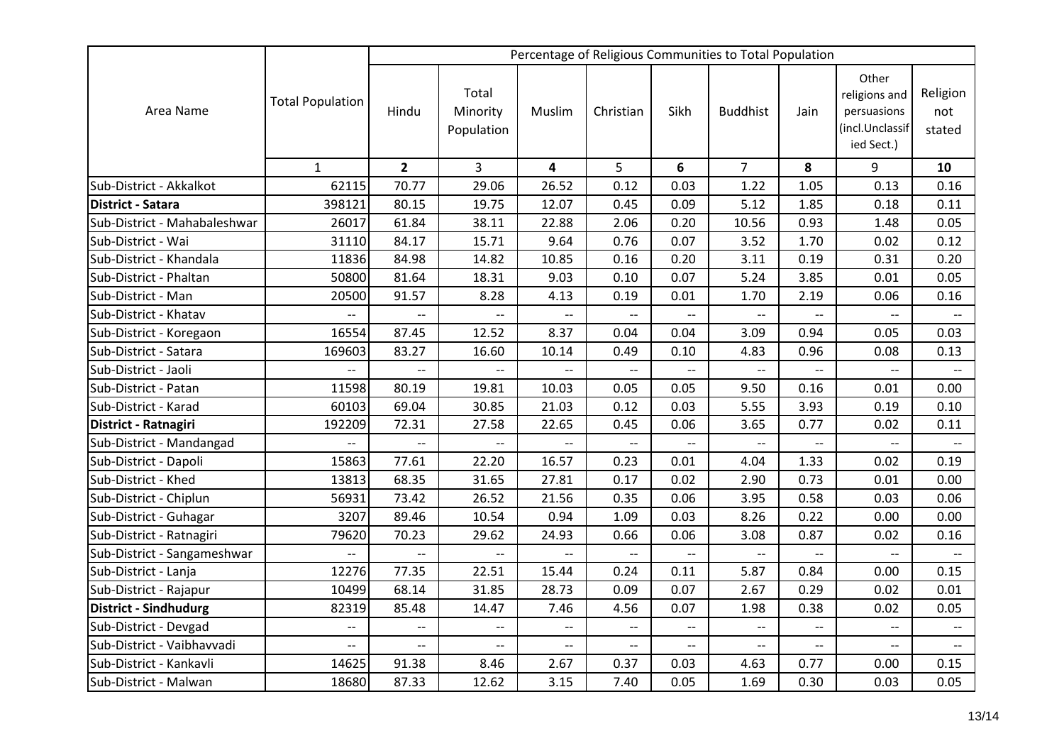| Area Name                    | <b>Total Population</b>  | Percentage of Religious Communities to Total Population |                                                     |                                                     |                          |                          |                          |                          |                                                                        |                           |
|------------------------------|--------------------------|---------------------------------------------------------|-----------------------------------------------------|-----------------------------------------------------|--------------------------|--------------------------|--------------------------|--------------------------|------------------------------------------------------------------------|---------------------------|
|                              |                          | Hindu                                                   | Total<br>Minority<br>Population                     | Muslim                                              | Christian                | Sikh                     | <b>Buddhist</b>          | Jain                     | Other<br>religions and<br>persuasions<br>(incl.Unclassif<br>ied Sect.) | Religion<br>not<br>stated |
|                              | $\mathbf{1}$             | $\overline{2}$                                          | 3                                                   | 4                                                   | 5                        | 6                        | $\overline{7}$           | 8                        | 9                                                                      | 10                        |
| Sub-District - Akkalkot      | 62115                    | 70.77                                                   | 29.06                                               | 26.52                                               | 0.12                     | 0.03                     | 1.22                     | 1.05                     | 0.13                                                                   | 0.16                      |
| <b>District - Satara</b>     | 398121                   | 80.15                                                   | 19.75                                               | 12.07                                               | 0.45                     | 0.09                     | 5.12                     | 1.85                     | 0.18                                                                   | 0.11                      |
| Sub-District - Mahabaleshwar | 26017                    | 61.84                                                   | 38.11                                               | 22.88                                               | 2.06                     | 0.20                     | 10.56                    | 0.93                     | 1.48                                                                   | 0.05                      |
| Sub-District - Wai           | 31110                    | 84.17                                                   | 15.71                                               | 9.64                                                | 0.76                     | 0.07                     | 3.52                     | 1.70                     | 0.02                                                                   | 0.12                      |
| Sub-District - Khandala      | 11836                    | 84.98                                                   | 14.82                                               | 10.85                                               | 0.16                     | 0.20                     | 3.11                     | 0.19                     | 0.31                                                                   | 0.20                      |
| Sub-District - Phaltan       | 50800                    | 81.64                                                   | 18.31                                               | 9.03                                                | 0.10                     | 0.07                     | 5.24                     | 3.85                     | 0.01                                                                   | 0.05                      |
| Sub-District - Man           | 20500                    | 91.57                                                   | 8.28                                                | 4.13                                                | 0.19                     | 0.01                     | 1.70                     | 2.19                     | 0.06                                                                   | 0.16                      |
| Sub-District - Khatav        | $\overline{\phantom{a}}$ | $\overline{\phantom{a}}$                                | $\overline{\phantom{a}}$                            | $\overline{\phantom{a}}$                            | $\overline{\phantom{a}}$ | $\overline{\phantom{a}}$ | $\overline{\phantom{a}}$ | $\overline{\phantom{a}}$ | $\overline{\phantom{a}}$                                               |                           |
| Sub-District - Koregaon      | 16554                    | 87.45                                                   | 12.52                                               | 8.37                                                | 0.04                     | 0.04                     | 3.09                     | 0.94                     | 0.05                                                                   | 0.03                      |
| Sub-District - Satara        | 169603                   | 83.27                                                   | 16.60                                               | 10.14                                               | 0.49                     | 0.10                     | 4.83                     | 0.96                     | 0.08                                                                   | 0.13                      |
| Sub-District - Jaoli         | $\overline{a}$           | $\overline{\phantom{0}}$                                |                                                     |                                                     | $-$                      | $-$                      | $\overline{\phantom{0}}$ |                          | $\overline{a}$                                                         |                           |
| Sub-District - Patan         | 11598                    | 80.19                                                   | 19.81                                               | 10.03                                               | 0.05                     | 0.05                     | 9.50                     | 0.16                     | 0.01                                                                   | 0.00                      |
| Sub-District - Karad         | 60103                    | 69.04                                                   | 30.85                                               | 21.03                                               | 0.12                     | 0.03                     | 5.55                     | 3.93                     | 0.19                                                                   | 0.10                      |
| District - Ratnagiri         | 192209                   | 72.31                                                   | 27.58                                               | 22.65                                               | 0.45                     | 0.06                     | 3.65                     | 0.77                     | 0.02                                                                   | 0.11                      |
| Sub-District - Mandangad     | $\overline{a}$           | $-$                                                     | $\overline{a}$                                      | $\overline{\phantom{0}}$                            | $\overline{a}$           | $-$                      | $\overline{\phantom{a}}$ | $\overline{\phantom{a}}$ | $\overline{a}$                                                         | $\overline{\phantom{m}}$  |
| Sub-District - Dapoli        | 15863                    | 77.61                                                   | 22.20                                               | 16.57                                               | 0.23                     | 0.01                     | 4.04                     | 1.33                     | 0.02                                                                   | 0.19                      |
| Sub-District - Khed          | 13813                    | 68.35                                                   | 31.65                                               | 27.81                                               | 0.17                     | 0.02                     | 2.90                     | 0.73                     | 0.01                                                                   | 0.00                      |
| Sub-District - Chiplun       | 56931                    | 73.42                                                   | 26.52                                               | 21.56                                               | 0.35                     | 0.06                     | 3.95                     | 0.58                     | 0.03                                                                   | 0.06                      |
| Sub-District - Guhagar       | 3207                     | 89.46                                                   | 10.54                                               | 0.94                                                | 1.09                     | 0.03                     | 8.26                     | 0.22                     | 0.00                                                                   | 0.00                      |
| Sub-District - Ratnagiri     | 79620                    | 70.23                                                   | 29.62                                               | 24.93                                               | 0.66                     | 0.06                     | 3.08                     | 0.87                     | 0.02                                                                   | 0.16                      |
| Sub-District - Sangameshwar  | $\overline{\phantom{a}}$ | $\overline{\phantom{a}}$                                | $\overline{\phantom{a}}$                            | $\overline{\phantom{a}}$                            |                          | $\overline{\phantom{a}}$ |                          |                          | $\overline{\phantom{0}}$                                               |                           |
| Sub-District - Lanja         | 12276                    | 77.35                                                   | 22.51                                               | 15.44                                               | 0.24                     | 0.11                     | 5.87                     | 0.84                     | 0.00                                                                   | 0.15                      |
| Sub-District - Rajapur       | 10499                    | 68.14                                                   | 31.85                                               | 28.73                                               | 0.09                     | 0.07                     | 2.67                     | 0.29                     | 0.02                                                                   | 0.01                      |
| <b>District - Sindhudurg</b> | 82319                    | 85.48                                                   | 14.47                                               | 7.46                                                | 4.56                     | 0.07                     | 1.98                     | 0.38                     | 0.02                                                                   | 0.05                      |
| Sub-District - Devgad        | $\overline{\phantom{a}}$ | --                                                      | $\hspace{0.05cm} -\hspace{0.05cm} -\hspace{0.05cm}$ | $\hspace{0.05cm} -\hspace{0.05cm} -\hspace{0.05cm}$ | --                       | $\overline{\phantom{a}}$ | $\overline{\phantom{a}}$ | $\overline{\phantom{a}}$ | $\overline{\phantom{a}}$                                               | $\overline{\phantom{a}}$  |
| Sub-District - Vaibhavvadi   | $\overline{\phantom{a}}$ | $\overline{a}$                                          | $\overline{\phantom{a}}$                            | $\overline{\phantom{a}}$                            | $\overline{\phantom{a}}$ | $-$                      | $\overline{\phantom{m}}$ | $\overline{\phantom{m}}$ | $\overline{\phantom{a}}$                                               | $\overline{\phantom{a}}$  |
| Sub-District - Kankavli      | 14625                    | 91.38                                                   | 8.46                                                | 2.67                                                | 0.37                     | 0.03                     | 4.63                     | 0.77                     | 0.00                                                                   | 0.15                      |
| Sub-District - Malwan        | 18680                    | 87.33                                                   | 12.62                                               | 3.15                                                | 7.40                     | 0.05                     | 1.69                     | 0.30                     | 0.03                                                                   | 0.05                      |